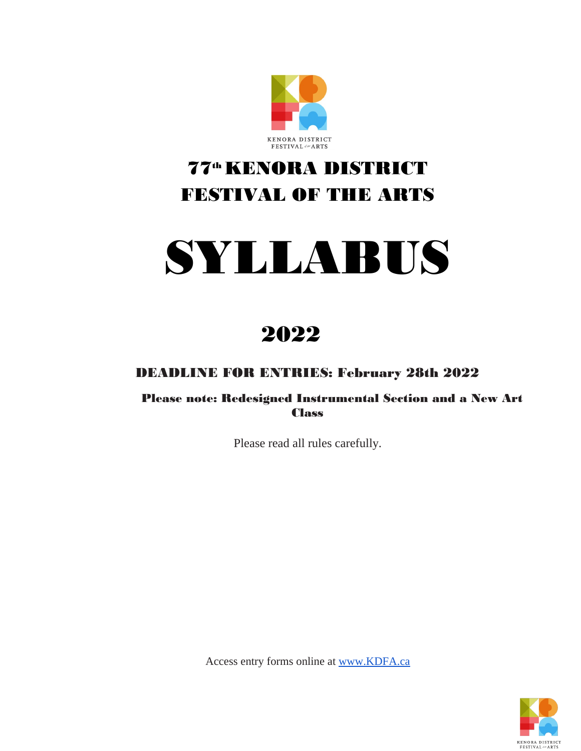

# 77th KENORA DISTRICT FESTIVAL OF THE ARTS

# SYLLABUS

2022

DEADLINE FOR ENTRIES: February 28th 2022

Please note: Redesigned Instrumental Section and a New Art **Class** 

Please read all rules carefully.

Access entry forms online at www.KDFA.ca

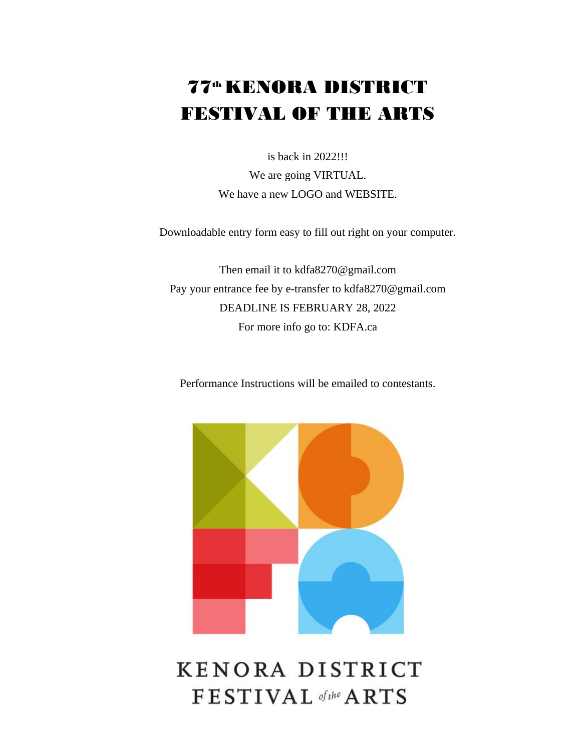# 77<sup>th</sup> KENORA DISTRICT FESTIVAL OF THE ARTS

is back in 2022!!! We are going VIRTUAL. We have a new LOGO and WEBSITE.

Downloadable entry form easy to fill out right on your computer.

Then email it to kdfa8270@gmail.com Pay your entrance fee by e-transfer to kdfa8270@gmail.com DEADLINE IS FEBRUARY 28, 2022 For more info go to: KDFA.ca

Performance Instructions will be emailed to contestants.



# KENORA DISTRICT FESTIVAL of the ARTS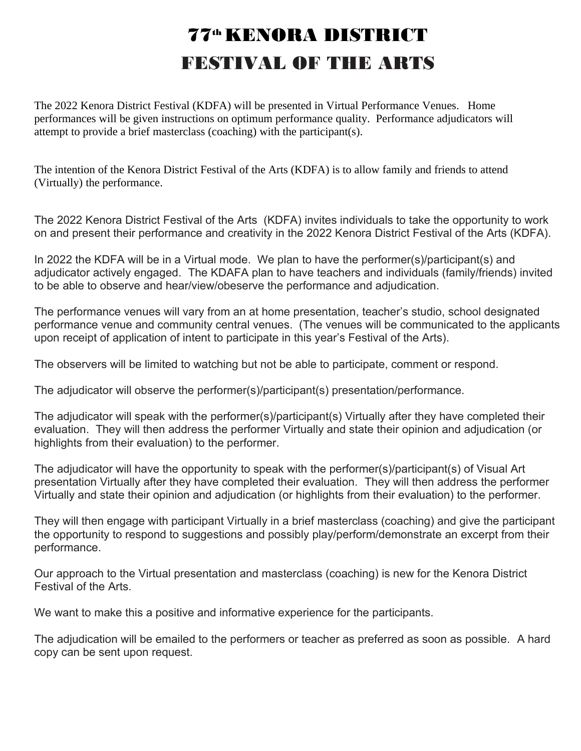# 77th KENORA DISTRICT FESTIVAL OF THE ARTS

The 2022 Kenora District Festival (KDFA) will be presented in Virtual Performance Venues. Home performances will be given instructions on optimum performance quality. Performance adjudicators will attempt to provide a brief masterclass (coaching) with the participant(s).

The intention of the Kenora District Festival of the Arts (KDFA) is to allow family and friends to attend (Virtually) the performance.

The 2022 Kenora District Festival of the Arts (KDFA) invites individuals to take the opportunity to work on and present their performance and creativity in the 2022 Kenora District Festival of the Arts (KDFA).

In 2022 the KDFA will be in a Virtual mode. We plan to have the performer(s)/participant(s) and adjudicator actively engaged. The KDAFA plan to have teachers and individuals (family/friends) invited to be able to observe and hear/view/obeserve the performance and adjudication.

The performance venues will vary from an at home presentation, teacher's studio, school designated performance venue and community central venues. (The venues will be communicated to the applicants upon receipt of application of intent to participate in this year's Festival of the Arts).

The observers will be limited to watching but not be able to participate, comment or respond.

The adjudicator will observe the performer(s)/participant(s) presentation/performance.

The adjudicator will speak with the performer(s)/participant(s) Virtually after they have completed their evaluation. They will then address the performer Virtually and state their opinion and adjudication (or highlights from their evaluation) to the performer.

The adjudicator will have the opportunity to speak with the performer(s)/participant(s) of Visual Art presentation Virtually after they have completed their evaluation. They will then address the performer Virtually and state their opinion and adjudication (or highlights from their evaluation) to the performer.

They will then engage with participant Virtually in a brief masterclass (coaching) and give the participant the opportunity to respond to suggestions and possibly play/perform/demonstrate an excerpt from their performance.

Our approach to the Virtual presentation and masterclass (coaching) is new for the Kenora District Festival of the Arts.

We want to make this a positive and informative experience for the participants.

The adjudication will be emailed to the performers or teacher as preferred as soon as possible. A hard copy can be sent upon request.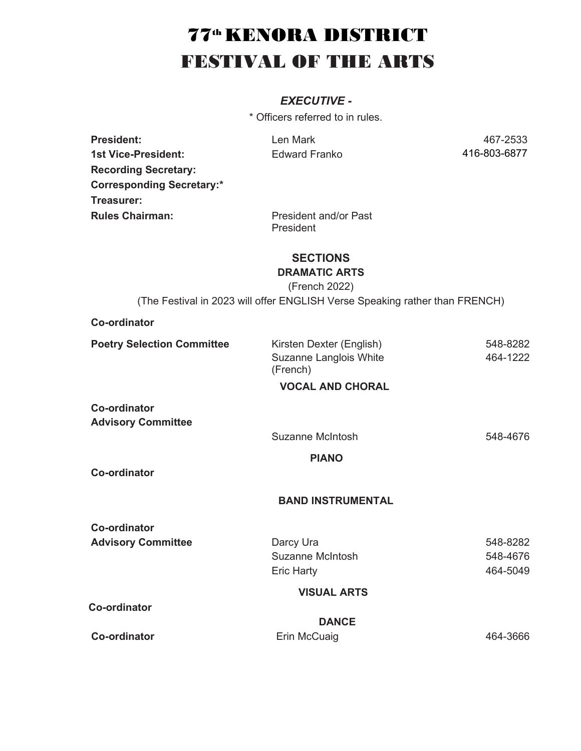# 77<sup>th</sup> KENORA DISTRICT FESTIVAL OF THE ARTS

# *EXECUTIVE -*

\* Officers referred to in rules.

**President:** 2533 1st Vice-President: Edward Franko 416-803-6877 **Recording Secretary: Corresponding Secretary:\* Treasurer: Rules Chairman:** President and/or Past

President

**SECTIONS DRAMATIC ARTS**

(French 2022)

(The Festival in 2023 will offer ENGLISH Verse Speaking rather than FRENCH)

#### **Co-ordinator**

| <b>Poetry Selection Committee</b> | Kirsten Dexter (English)           | 548-8282 |
|-----------------------------------|------------------------------------|----------|
|                                   | Suzanne Langlois White<br>(French) | 464-1222 |
|                                   | <b>VOCAL AND CHORAL</b>            |          |
| <b>Co-ordinator</b>               |                                    |          |
| <b>Advisory Committee</b>         |                                    |          |
|                                   | Suzanne McIntosh                   | 548-4676 |
|                                   | <b>PIANO</b>                       |          |
| <b>Co-ordinator</b>               |                                    |          |
|                                   | <b>BAND INSTRUMENTAL</b>           |          |
| <b>Co-ordinator</b>               |                                    |          |
| <b>Advisory Committee</b>         | Darcy Ura                          | 548-8282 |
|                                   | <b>Suzanne McIntosh</b>            | 548-4676 |
|                                   | <b>Eric Harty</b>                  | 464-5049 |
|                                   | <b>VISUAL ARTS</b>                 |          |
| <b>Co-ordinator</b>               |                                    |          |
|                                   | <b>DANCE</b>                       |          |
| <b>Co-ordinator</b>               | Erin McCuaig                       | 464-3666 |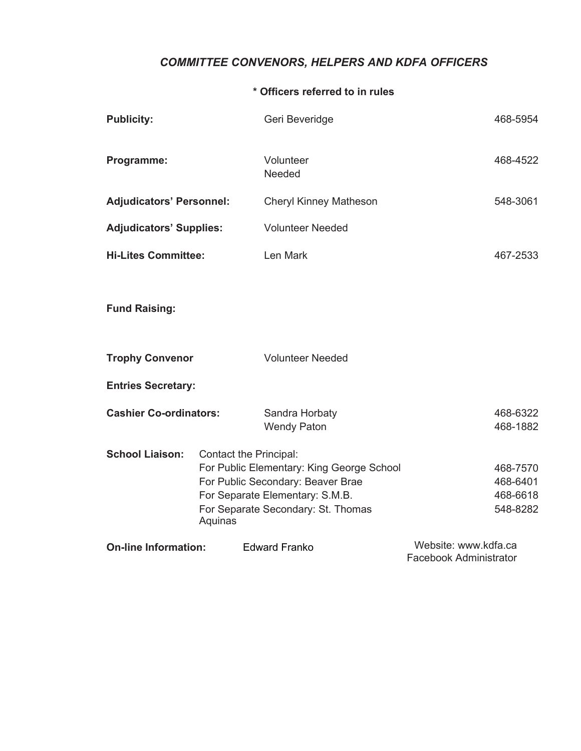# *COMMITTEE CONVENORS, HELPERS AND KDFA OFFICERS*

#### **\* Officers referred to in rules**

| <b>Publicity:</b>               |                                   | Geri Beveridge                                                                                                                                          |                                                       | 468-5954                                     |
|---------------------------------|-----------------------------------|---------------------------------------------------------------------------------------------------------------------------------------------------------|-------------------------------------------------------|----------------------------------------------|
| Programme:                      |                                   | Volunteer<br>Needed                                                                                                                                     |                                                       | 468-4522                                     |
| <b>Adjudicators' Personnel:</b> |                                   | <b>Cheryl Kinney Matheson</b>                                                                                                                           |                                                       | 548-3061                                     |
| <b>Adjudicators' Supplies:</b>  |                                   | <b>Volunteer Needed</b>                                                                                                                                 |                                                       |                                              |
| <b>Hi-Lites Committee:</b>      |                                   | Len Mark                                                                                                                                                |                                                       | 467-2533                                     |
| <b>Fund Raising:</b>            |                                   |                                                                                                                                                         |                                                       |                                              |
| <b>Trophy Convenor</b>          |                                   | <b>Volunteer Needed</b>                                                                                                                                 |                                                       |                                              |
| <b>Entries Secretary:</b>       |                                   |                                                                                                                                                         |                                                       |                                              |
| <b>Cashier Co-ordinators:</b>   |                                   | Sandra Horbaty<br><b>Wendy Paton</b>                                                                                                                    |                                                       | 468-6322<br>468-1882                         |
| <b>School Liaison:</b>          | Contact the Principal:<br>Aquinas | For Public Elementary: King George School<br>For Public Secondary: Beaver Brae<br>For Separate Elementary: S.M.B.<br>For Separate Secondary: St. Thomas |                                                       | 468-7570<br>468-6401<br>468-6618<br>548-8282 |
| <b>On-line Information:</b>     |                                   | <b>Edward Franko</b>                                                                                                                                    | Website: www.kdfa.ca<br><b>Facebook Administrator</b> |                                              |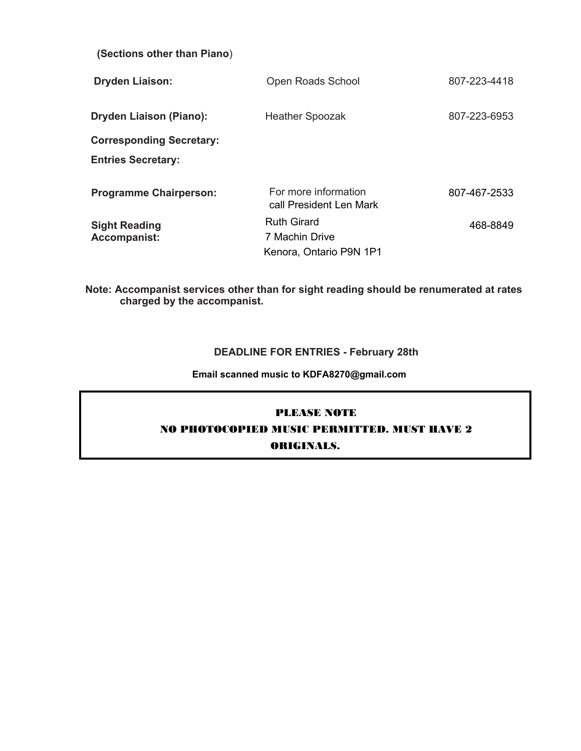| (Sections other than Piano)                 |                                                                 |              |
|---------------------------------------------|-----------------------------------------------------------------|--------------|
| <b>Dryden Liaison:</b>                      | Open Roads School                                               | 807-223-4418 |
| <b>Dryden Liaison (Piano):</b>              | <b>Heather Spoozak</b>                                          | 807-223-6953 |
| <b>Corresponding Secretary:</b>             |                                                                 |              |
| <b>Entries Secretary:</b>                   |                                                                 |              |
| <b>Programme Chairperson:</b>               | For more information<br>call President Len Mark                 | 807-467-2533 |
| <b>Sight Reading</b><br><b>Accompanist:</b> | <b>Ruth Girard</b><br>7 Machin Drive<br>Kenora, Ontario P9N 1P1 | 468-8849     |

**Note: Accompanist services other than for sight reading should be renumerated at rates charged by the accompanist.**

#### **DEADLINE FOR ENTRIES - February 28th**

**Email scanned music to KDFA8270@gmail.com**

#### PLEASE NOTE

NO PHOTOCOPIED MUSIC PERMITTED. MUST HAVE 2

#### ORIGINALS.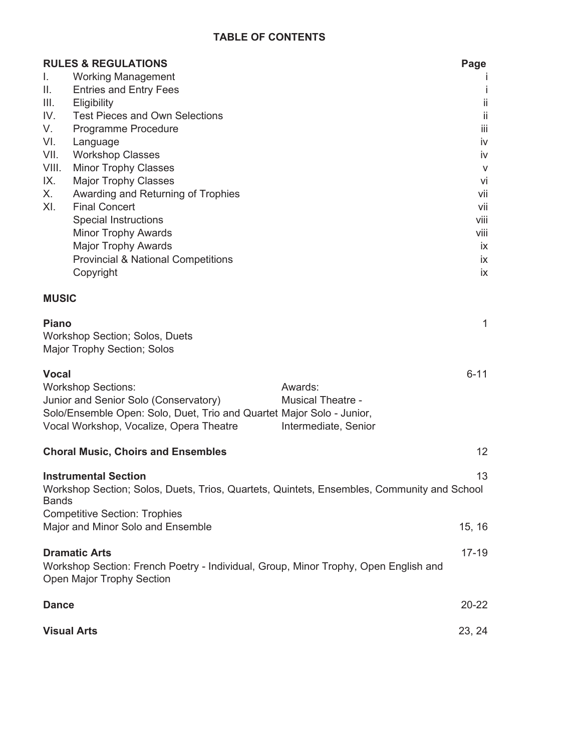# **TABLE OF CONTENTS**

|              | <b>RULES &amp; REGULATIONS</b>                                                             |                          | Page         |
|--------------|--------------------------------------------------------------------------------------------|--------------------------|--------------|
| L.           | <b>Working Management</b>                                                                  |                          |              |
| II.          | <b>Entries and Entry Fees</b>                                                              |                          | İ            |
| Ш.           | Eligibility                                                                                |                          | ii           |
| IV.          | <b>Test Pieces and Own Selections</b>                                                      |                          | ii           |
| V.           | Programme Procedure                                                                        |                          | iii          |
| VI.          | Language                                                                                   |                          | iv           |
| VII.         | <b>Workshop Classes</b>                                                                    |                          | iv           |
| VIII.        | <b>Minor Trophy Classes</b>                                                                |                          | V            |
| IX.          | <b>Major Trophy Classes</b>                                                                |                          | vi           |
| Х.           | Awarding and Returning of Trophies                                                         |                          | vii          |
| XI.          | <b>Final Concert</b>                                                                       |                          | vii          |
|              | <b>Special Instructions</b>                                                                |                          | viii         |
|              | <b>Minor Trophy Awards</b>                                                                 |                          | viii         |
|              | <b>Major Trophy Awards</b>                                                                 |                          | ix           |
|              | <b>Provincial &amp; National Competitions</b>                                              |                          | ix           |
|              | Copyright                                                                                  |                          | ix           |
| <b>MUSIC</b> |                                                                                            |                          |              |
|              |                                                                                            |                          |              |
| <b>Piano</b> | <b>Workshop Section; Solos, Duets</b><br>Major Trophy Section; Solos                       |                          | $\mathbf{1}$ |
| <b>Vocal</b> |                                                                                            |                          | $6 - 11$     |
|              | <b>Workshop Sections:</b>                                                                  | Awards:                  |              |
|              | Junior and Senior Solo (Conservatory)                                                      | <b>Musical Theatre -</b> |              |
|              | Solo/Ensemble Open: Solo, Duet, Trio and Quartet Major Solo - Junior,                      |                          |              |
|              | Vocal Workshop, Vocalize, Opera Theatre                                                    | Intermediate, Senior     |              |
|              |                                                                                            |                          |              |
|              | <b>Choral Music, Choirs and Ensembles</b>                                                  |                          | 12           |
|              | <b>Instrumental Section</b>                                                                |                          | 13           |
| <b>Bands</b> | Workshop Section; Solos, Duets, Trios, Quartets, Quintets, Ensembles, Community and School |                          |              |
|              | <b>Competitive Section: Trophies</b>                                                       |                          |              |
|              | Major and Minor Solo and Ensemble                                                          |                          | 15, 16       |
|              | <b>Dramatic Arts</b>                                                                       |                          | $17 - 19$    |
|              | Workshop Section: French Poetry - Individual, Group, Minor Trophy, Open English and        |                          |              |
|              | <b>Open Major Trophy Section</b>                                                           |                          |              |
| <b>Dance</b> |                                                                                            |                          | $20 - 22$    |
|              |                                                                                            |                          |              |
|              | <b>Visual Arts</b>                                                                         |                          | 23, 24       |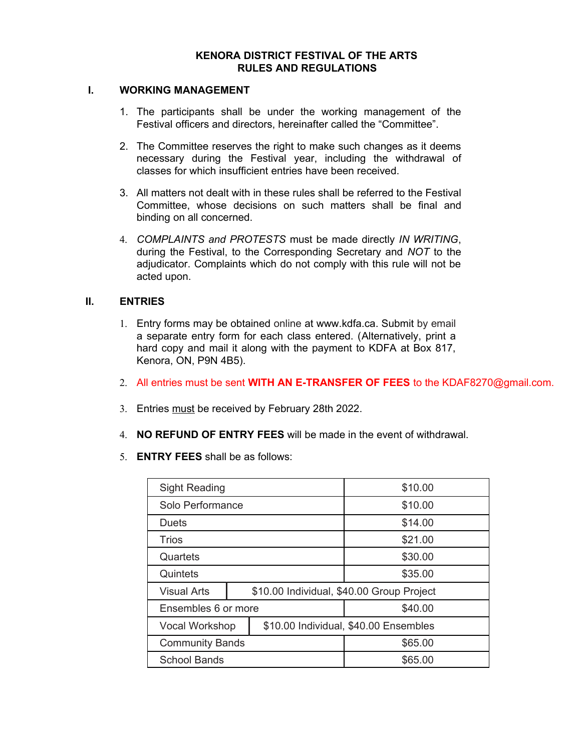#### **KENORA DISTRICT FESTIVAL OF THE ARTS RULES AND REGULATIONS**

#### **I. WORKING MANAGEMENT**

- 1. The participants shall be under the working management of the Festival officers and directors, hereinafter called the "Committee".
- 2. The Committee reserves the right to make such changes as it deems necessary during the Festival year, including the withdrawal of classes for which insufficient entries have been received.
- 3. All matters not dealt with in these rules shall be referred to the Festival Committee, whose decisions on such matters shall be final and binding on all concerned.
- 4. *COMPLAINTS and PROTESTS* must be made directly *IN WRITING*, during the Festival, to the Corresponding Secretary and *NOT* to the adjudicator. Complaints which do not comply with this rule will not be acted upon.

#### **II. ENTRIES**

- 1. Entry forms may be obtained online at www.kdfa.ca. Submit by email a separate entry form for each class entered. (Alternatively, print a hard copy and mail it along with the payment to KDFA at Box 817, Kenora, ON, P9N 4B5).
- 2. All entries must be sent **WITH AN E-TRANSFER OF FEES** to the KDAF8270@gmail.com.
- 3. Entries must be received by February 28th 2022.
- 4. **NO REFUND OF ENTRY FEES** will be made in the event of withdrawal.
- 5. **ENTRY FEES** shall be as follows:

| <b>Sight Reading</b>   |         |                                           | \$10.00 |
|------------------------|---------|-------------------------------------------|---------|
| Solo Performance       |         |                                           | \$10.00 |
| <b>Duets</b>           |         |                                           | \$14.00 |
| Trios                  |         |                                           | \$21.00 |
| Quartets               |         |                                           | \$30.00 |
| Quintets               |         |                                           | \$35.00 |
| <b>Visual Arts</b>     |         | \$10.00 Individual, \$40.00 Group Project |         |
| Ensembles 6 or more    |         | \$40.00                                   |         |
| Vocal Workshop         |         | \$10.00 Individual, \$40.00 Ensembles     |         |
| <b>Community Bands</b> |         | \$65.00                                   |         |
| <b>School Bands</b>    | \$65.00 |                                           |         |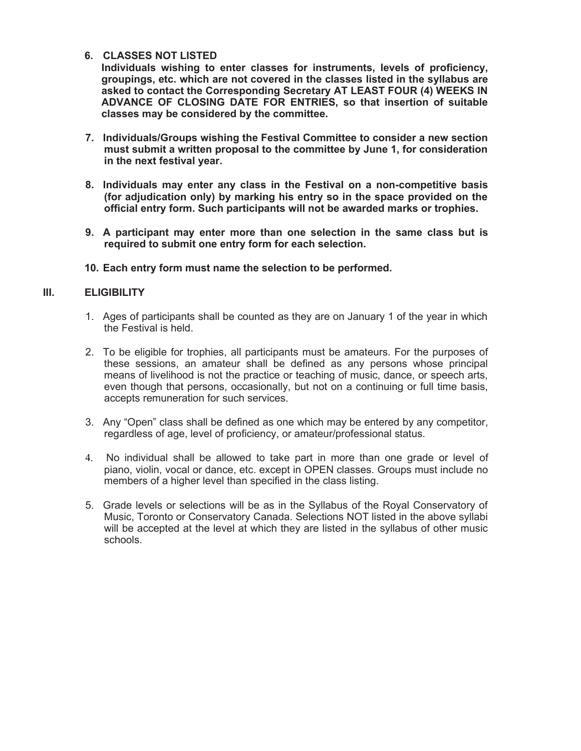#### **6. CLASSES NOT LISTED**

**Individuals wishing to enter classes for instruments, levels of proficiency, groupings, etc. which are not covered in the classes listed in the syllabus are asked to contact the Corresponding Secretary AT LEAST FOUR (4) WEEKS IN ADVANCE OF CLOSING DATE FOR ENTRIES, so that insertion of suitable classes may be considered by the committee.**

- **7. Individuals/Groups wishing the Festival Committee to consider a new section must submit a written proposal to the committee by June 1, for consideration in the next festival year.**
- **8. Individuals may enter any class in the Festival on a non-competitive basis (for adjudication only) by marking his entry so in the space provided on the official entry form. Such participants will not be awarded marks or trophies.**
- **9. A participant may enter more than one selection in the same class but is required to submit one entry form for each selection.**
- **10. Each entry form must name the selection to be performed.**

#### **III. ELIGIBILITY**

- 1. Ages of participants shall be counted as they are on January 1 of the year in which the Festival is held.
- 2. To be eligible for trophies, all participants must be amateurs. For the purposes of these sessions, an amateur shall be defined as any persons whose principal means of livelihood is not the practice or teaching of music, dance, or speech arts, even though that persons, occasionally, but not on a continuing or full time basis, accepts remuneration for such services.
- 3. Any "Open" class shall be defined as one which may be entered by any competitor, regardless of age, level of proficiency, or amateur/professional status.
- 4. No individual shall be allowed to take part in more than one grade or level of piano, violin, vocal or dance, etc. except in OPEN classes. Groups must include no members of a higher level than specified in the class listing.
- 5. Grade levels or selections will be as in the Syllabus of the Royal Conservatory of Music, Toronto or Conservatory Canada. Selections NOT listed in the above syllabi will be accepted at the level at which they are listed in the syllabus of other music schools.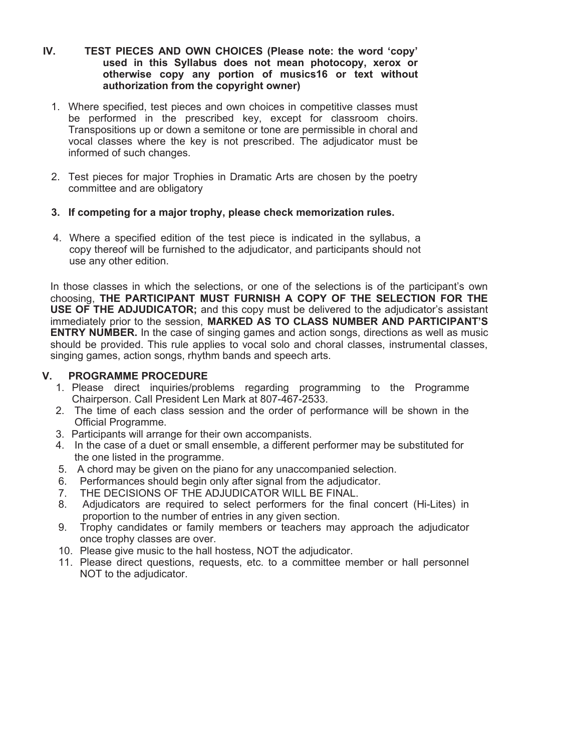- **IV. TEST PIECES AND OWN CHOICES (Please note: the word 'copy' used in this Syllabus does not mean photocopy, xerox or otherwise copy any portion of musics16 or text without authorization from the copyright owner)**
	- 1. Where specified, test pieces and own choices in competitive classes must be performed in the prescribed key, except for classroom choirs. Transpositions up or down a semitone or tone are permissible in choral and vocal classes where the key is not prescribed. The adjudicator must be informed of such changes.
	- 2. Test pieces for major Trophies in Dramatic Arts are chosen by the poetry committee and are obligatory
	- **3. If competing for a major trophy, please check memorization rules.**
	- 4. Where a specified edition of the test piece is indicated in the syllabus, a copy thereof will be furnished to the adjudicator, and participants should not use any other edition.

In those classes in which the selections, or one of the selections is of the participant's own choosing, **THE PARTICIPANT MUST FURNISH A COPY OF THE SELECTION FOR THE USE OF THE ADJUDICATOR;** and this copy must be delivered to the adjudicator's assistant immediately prior to the session, **MARKED AS TO CLASS NUMBER AND PARTICIPANT'S ENTRY NUMBER.** In the case of singing games and action songs, directions as well as music should be provided. This rule applies to vocal solo and choral classes, instrumental classes, singing games, action songs, rhythm bands and speech arts.

#### **V. PROGRAMME PROCEDURE**

- 1. Please direct inquiries/problems regarding programming to the Programme Chairperson. Call President Len Mark at 807-467-2533.
- 2. The time of each class session and the order of performance will be shown in the Official Programme.
- 3. Participants will arrange for their own accompanists.
- 4. In the case of a duet or small ensemble, a different performer may be substituted for the one listed in the programme.
- 5. A chord may be given on the piano for any unaccompanied selection.
- 6. Performances should begin only after signal from the adjudicator.
- 7. THE DECISIONS OF THE ADJUDICATOR WILL BE FINAL.
- 8. Adjudicators are required to select performers for the final concert (Hi-Lites) in proportion to the number of entries in any given section.
- 9. Trophy candidates or family members or teachers may approach the adjudicator once trophy classes are over.
- 10. Please give music to the hall hostess, NOT the adjudicator.
- 11. Please direct questions, requests, etc. to a committee member or hall personnel NOT to the adjudicator.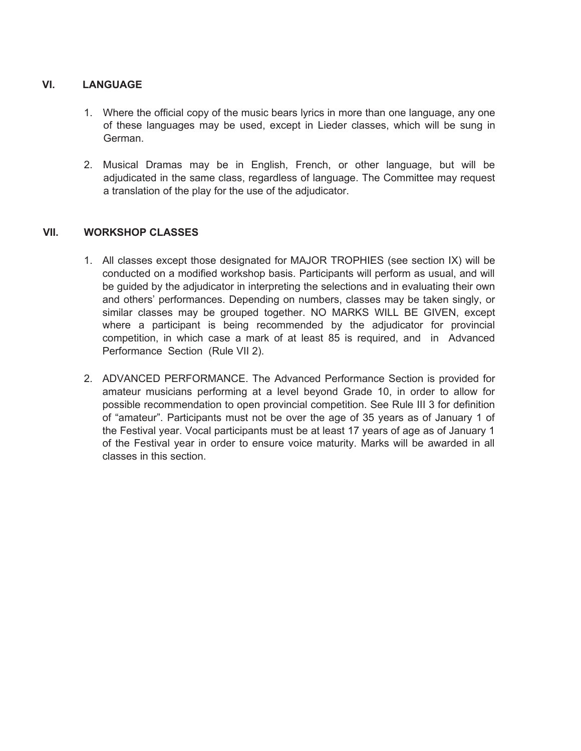#### **VI. LANGUAGE**

- 1. Where the official copy of the music bears lyrics in more than one language, any one of these languages may be used, except in Lieder classes, which will be sung in German.
- 2. Musical Dramas may be in English, French, or other language, but will be adjudicated in the same class, regardless of language. The Committee may request a translation of the play for the use of the adjudicator.

#### **VII. WORKSHOP CLASSES**

- 1. All classes except those designated for MAJOR TROPHIES (see section IX) will be conducted on a modified workshop basis. Participants will perform as usual, and will be guided by the adjudicator in interpreting the selections and in evaluating their own and others' performances. Depending on numbers, classes may be taken singly, or similar classes may be grouped together. NO MARKS WILL BE GIVEN, except where a participant is being recommended by the adjudicator for provincial competition, in which case a mark of at least 85 is required, and in Advanced Performance Section (Rule VII 2).
- 2. ADVANCED PERFORMANCE. The Advanced Performance Section is provided for amateur musicians performing at a level beyond Grade 10, in order to allow for possible recommendation to open provincial competition. See Rule III 3 for definition of "amateur". Participants must not be over the age of 35 years as of January 1 of the Festival year. Vocal participants must be at least 17 years of age as of January 1 of the Festival year in order to ensure voice maturity. Marks will be awarded in all classes in this section.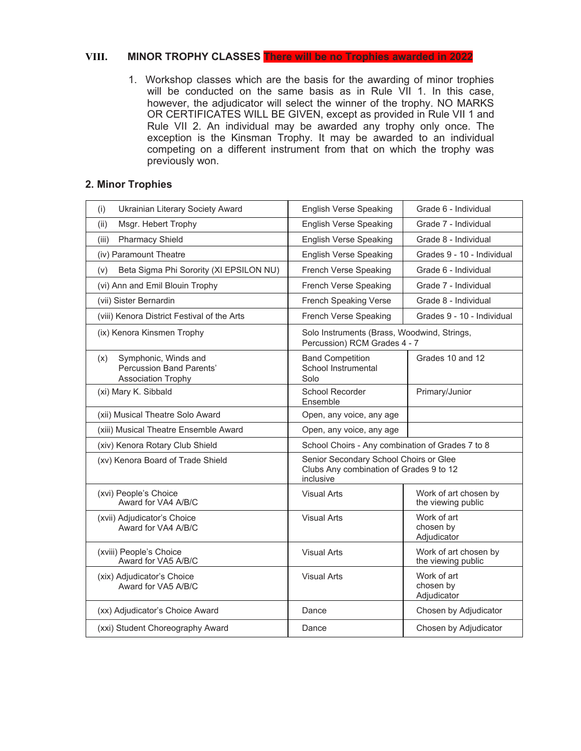#### **VIII. MINOR TROPHY CLASSES There will be no Trophies awarded in 2022**

1. Workshop classes which are the basis for the awarding of minor trophies will be conducted on the same basis as in Rule VII 1. In this case, however, the adjudicator will select the winner of the trophy. NO MARKS OR CERTIFICATES WILL BE GIVEN, except as provided in Rule VII 1 and Rule VII 2. An individual may be awarded any trophy only once. The exception is the Kinsman Trophy. It may be awarded to an individual competing on a different instrument from that on which the trophy was previously won.

#### **2. Minor Trophies**

| Ukrainian Literary Society Award<br>(i)                                                     | <b>English Verse Speaking</b>                                                                  | Grade 6 - Individual                        |
|---------------------------------------------------------------------------------------------|------------------------------------------------------------------------------------------------|---------------------------------------------|
| Msgr. Hebert Trophy<br>(ii)                                                                 | <b>English Verse Speaking</b>                                                                  | Grade 7 - Individual                        |
| <b>Pharmacy Shield</b><br>(iii)                                                             | <b>English Verse Speaking</b>                                                                  | Grade 8 - Individual                        |
| (iv) Paramount Theatre                                                                      | <b>English Verse Speaking</b>                                                                  | Grades 9 - 10 - Individual                  |
| Beta Sigma Phi Sorority (XI EPSILON NU)<br>(v)                                              | French Verse Speaking                                                                          | Grade 6 - Individual                        |
| (vi) Ann and Emil Blouin Trophy                                                             | French Verse Speaking                                                                          | Grade 7 - Individual                        |
| (vii) Sister Bernardin                                                                      | <b>French Speaking Verse</b>                                                                   | Grade 8 - Individual                        |
| (viii) Kenora District Festival of the Arts                                                 | French Verse Speaking                                                                          | Grades 9 - 10 - Individual                  |
| (ix) Kenora Kinsmen Trophy                                                                  | Solo Instruments (Brass, Woodwind, Strings,<br>Percussion) RCM Grades 4 - 7                    |                                             |
| Symphonic, Winds and<br>(x)<br><b>Percussion Band Parents'</b><br><b>Association Trophy</b> | <b>Band Competition</b><br>School Instrumental<br>Solo                                         | Grades 10 and 12                            |
| (xi) Mary K. Sibbald                                                                        | School Recorder<br>Ensemble                                                                    | Primary/Junior                              |
| (xii) Musical Theatre Solo Award                                                            | Open, any voice, any age                                                                       |                                             |
| (xiii) Musical Theatre Ensemble Award                                                       | Open, any voice, any age                                                                       |                                             |
| (xiv) Kenora Rotary Club Shield                                                             | School Choirs - Any combination of Grades 7 to 8                                               |                                             |
| (xv) Kenora Board of Trade Shield                                                           | Senior Secondary School Choirs or Glee<br>Clubs Any combination of Grades 9 to 12<br>inclusive |                                             |
| (xvi) People's Choice<br>Award for VA4 A/B/C                                                | <b>Visual Arts</b>                                                                             | Work of art chosen by<br>the viewing public |
| (xvii) Adjudicator's Choice<br>Award for VA4 A/B/C                                          | <b>Visual Arts</b>                                                                             | Work of art<br>chosen by<br>Adjudicator     |
| (xviii) People's Choice<br>Award for VA5 A/B/C                                              | <b>Visual Arts</b>                                                                             | Work of art chosen by<br>the viewing public |
| (xix) Adjudicator's Choice<br>Award for VA5 A/B/C                                           | <b>Visual Arts</b>                                                                             | Work of art<br>chosen by<br>Adjudicator     |
| (xx) Adjudicator's Choice Award                                                             | Dance                                                                                          | Chosen by Adjudicator                       |
| (xxi) Student Choreography Award                                                            | Dance                                                                                          | Chosen by Adjudicator                       |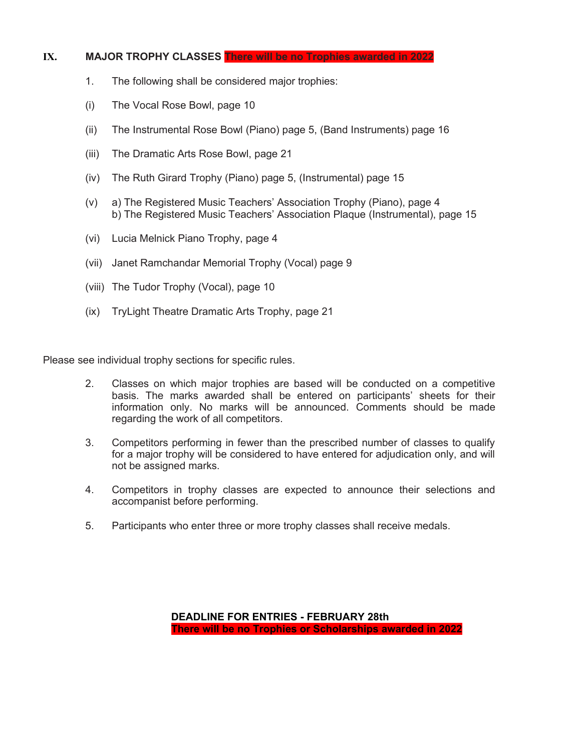#### **IX. MAJOR TROPHY CLASSES There will be no Trophies awarded in 2022**

- 1. The following shall be considered major trophies:
- (i) The Vocal Rose Bowl, page 10
- (ii) The Instrumental Rose Bowl (Piano) page 5, (Band Instruments) page 16
- (iii) The Dramatic Arts Rose Bowl, page 21
- (iv) The Ruth Girard Trophy (Piano) page 5, (Instrumental) page 15
- (v) a) The Registered Music Teachers' Association Trophy (Piano), page 4 b) The Registered Music Teachers' Association Plaque (Instrumental), page 15
- (vi) Lucia Melnick Piano Trophy, page 4
- (vii) Janet Ramchandar Memorial Trophy (Vocal) page 9
- (viii) The Tudor Trophy (Vocal), page 10
- (ix) TryLight Theatre Dramatic Arts Trophy, page 21

Please see individual trophy sections for specific rules.

- 2. Classes on which major trophies are based will be conducted on a competitive basis. The marks awarded shall be entered on participants' sheets for their information only. No marks will be announced. Comments should be made regarding the work of all competitors.
- 3. Competitors performing in fewer than the prescribed number of classes to qualify for a major trophy will be considered to have entered for adjudication only, and will not be assigned marks.
- 4. Competitors in trophy classes are expected to announce their selections and accompanist before performing.
- 5. Participants who enter three or more trophy classes shall receive medals.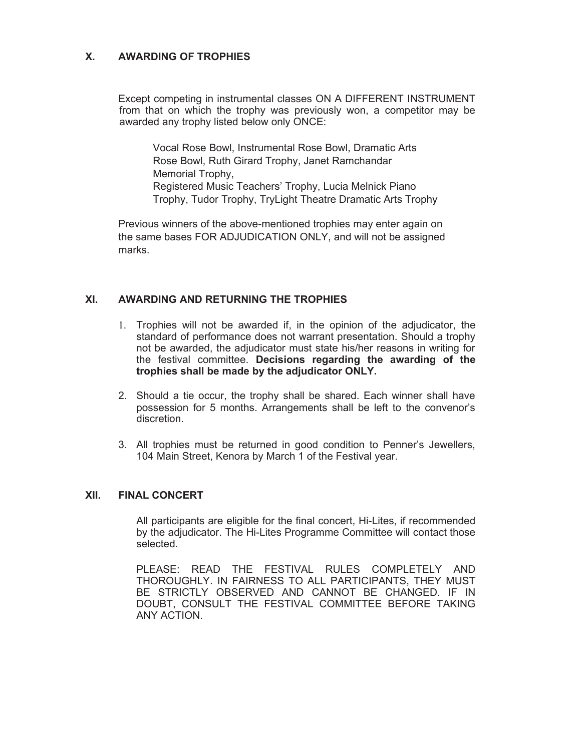#### **X. AWARDING OF TROPHIES**

Except competing in instrumental classes ON A DIFFERENT INSTRUMENT from that on which the trophy was previously won, a competitor may be awarded any trophy listed below only ONCE:

Vocal Rose Bowl, Instrumental Rose Bowl, Dramatic Arts Rose Bowl, Ruth Girard Trophy, Janet Ramchandar Memorial Trophy, Registered Music Teachers' Trophy, Lucia Melnick Piano Trophy, Tudor Trophy, TryLight Theatre Dramatic Arts Trophy

Previous winners of the above-mentioned trophies may enter again on the same bases FOR ADJUDICATION ONLY, and will not be assigned marks.

#### **XI. AWARDING AND RETURNING THE TROPHIES**

- 1. Trophies will not be awarded if, in the opinion of the adjudicator, the standard of performance does not warrant presentation. Should a trophy not be awarded, the adjudicator must state his/her reasons in writing for the festival committee. **Decisions regarding the awarding of the trophies shall be made by the adjudicator ONLY.**
- 2. Should a tie occur, the trophy shall be shared. Each winner shall have possession for 5 months. Arrangements shall be left to the convenor's discretion.
- 3. All trophies must be returned in good condition to Penner's Jewellers, 104 Main Street, Kenora by March 1 of the Festival year.

#### **XII. FINAL CONCERT**

All participants are eligible for the final concert, Hi-Lites, if recommended by the adjudicator. The Hi-Lites Programme Committee will contact those selected.

PLEASE: READ THE FESTIVAL RULES COMPLETELY AND THOROUGHLY. IN FAIRNESS TO ALL PARTICIPANTS, THEY MUST BE STRICTLY OBSERVED AND CANNOT BE CHANGED. IF IN DOUBT, CONSULT THE FESTIVAL COMMITTEE BEFORE TAKING ANY ACTION.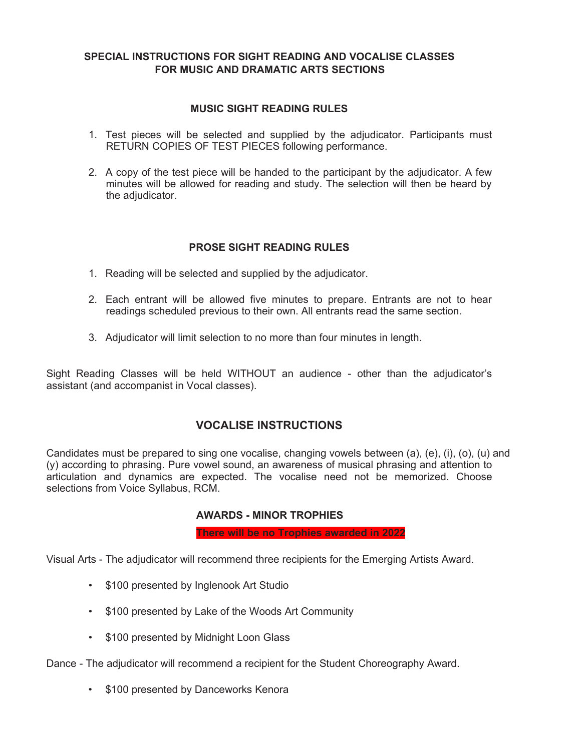#### **SPECIAL INSTRUCTIONS FOR SIGHT READING AND VOCALISE CLASSES FOR MUSIC AND DRAMATIC ARTS SECTIONS**

#### **MUSIC SIGHT READING RULES**

- 1. Test pieces will be selected and supplied by the adjudicator. Participants must RETURN COPIES OF TEST PIECES following performance.
- 2. A copy of the test piece will be handed to the participant by the adjudicator. A few minutes will be allowed for reading and study. The selection will then be heard by the adjudicator.

#### **PROSE SIGHT READING RULES**

- 1. Reading will be selected and supplied by the adjudicator.
- 2. Each entrant will be allowed five minutes to prepare. Entrants are not to hear readings scheduled previous to their own. All entrants read the same section.
- 3. Adjudicator will limit selection to no more than four minutes in length.

Sight Reading Classes will be held WITHOUT an audience - other than the adjudicator's assistant (and accompanist in Vocal classes).

#### **VOCALISE INSTRUCTIONS**

Candidates must be prepared to sing one vocalise, changing vowels between (a), (e), (i), (o), (u) and (y) according to phrasing. Pure vowel sound, an awareness of musical phrasing and attention to articulation and dynamics are expected. The vocalise need not be memorized. Choose selections from Voice Syllabus, RCM.

#### **AWARDS - MINOR TROPHIES**

**There will be no Trophies awarded in 2022**

Visual Arts - The adjudicator will recommend three recipients for the Emerging Artists Award.

- \$100 presented by Inglenook Art Studio
- \$100 presented by Lake of the Woods Art Community
- \$100 presented by Midnight Loon Glass

Dance - The adjudicator will recommend a recipient for the Student Choreography Award.

• \$100 presented by Danceworks Kenora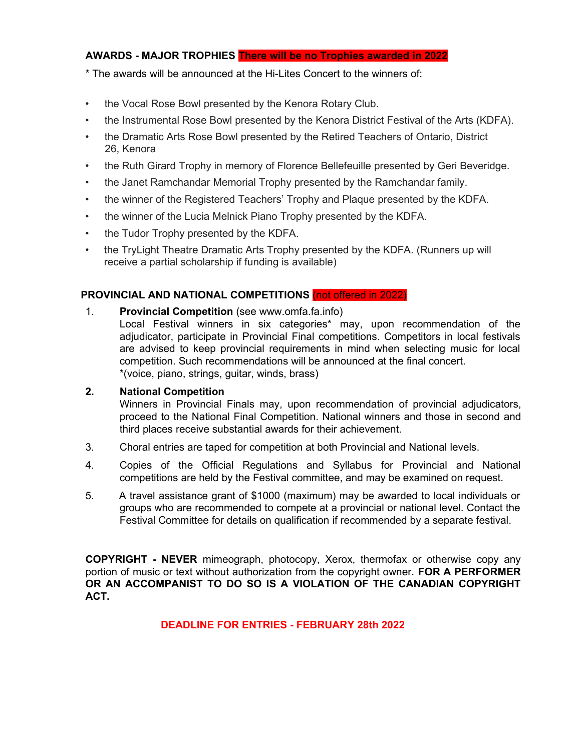#### **AWARDS - MAJOR TROPHIES There will be no Trophies awarded in 2022**

\* The awards will be announced at the Hi-Lites Concert to the winners of:

- the Vocal Rose Bowl presented by the Kenora Rotary Club.
- the Instrumental Rose Bowl presented by the Kenora District Festival of the Arts (KDFA).
- the Dramatic Arts Rose Bowl presented by the Retired Teachers of Ontario, District 26, Kenora
- the Ruth Girard Trophy in memory of Florence Bellefeuille presented by Geri Beveridge.
- the Janet Ramchandar Memorial Trophy presented by the Ramchandar family.
- the winner of the Registered Teachers' Trophy and Plaque presented by the KDFA.
- the winner of the Lucia Melnick Piano Trophy presented by the KDFA.
- the Tudor Trophy presented by the KDFA.
- the TryLight Theatre Dramatic Arts Trophy presented by the KDFA. (Runners up will receive a partial scholarship if funding is available)

#### **PROVINCIAL AND NATIONAL COMPETITIONS** (not offered in 2022)

1. **Provincial Competition** (see www.omfa.fa.info)

Local Festival winners in six categories\* may, upon recommendation of the adjudicator, participate in Provincial Final competitions. Competitors in local festivals are advised to keep provincial requirements in mind when selecting music for local competition. Such recommendations will be announced at the final concert. \*(voice, piano, strings, guitar, winds, brass)

#### **2. National Competition**

Winners in Provincial Finals may, upon recommendation of provincial adjudicators, proceed to the National Final Competition. National winners and those in second and third places receive substantial awards for their achievement.

- 3. Choral entries are taped for competition at both Provincial and National levels.
- 4. Copies of the Official Regulations and Syllabus for Provincial and National competitions are held by the Festival committee, and may be examined on request.
- 5. A travel assistance grant of \$1000 (maximum) may be awarded to local individuals or groups who are recommended to compete at a provincial or national level. Contact the Festival Committee for details on qualification if recommended by a separate festival.

**COPYRIGHT - NEVER** mimeograph, photocopy, Xerox, thermofax or otherwise copy any portion of music or text without authorization from the copyright owner. **FOR A PERFORMER OR AN ACCOMPANIST TO DO SO IS A VIOLATION OF THE CANADIAN COPYRIGHT ACT.**

**DEADLINE FOR ENTRIES - FEBRUARY 28th 2022**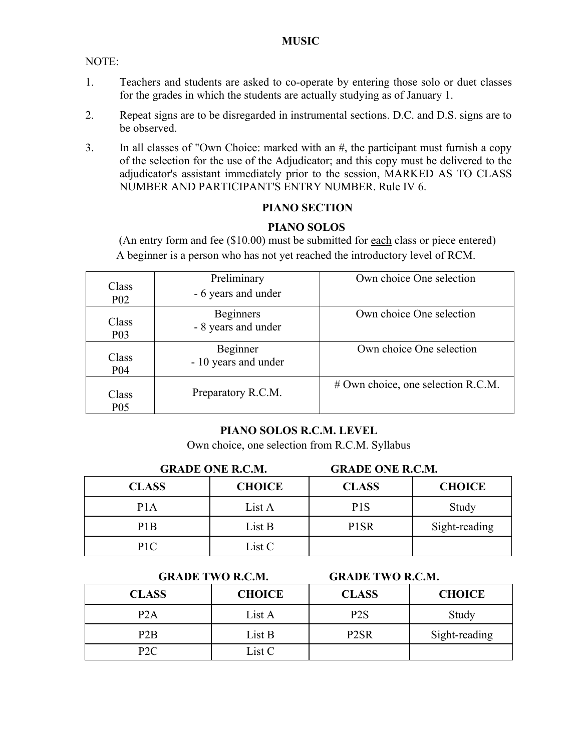#### **MUSIC**

NOTE:

- 1. Teachers and students are asked to co-operate by entering those solo or duet classes for the grades in which the students are actually studying as of January 1.
- 2. Repeat signs are to be disregarded in instrumental sections. D.C. and D.S. signs are to be observed.
- 3. In all classes of "Own Choice: marked with an #, the participant must furnish a copy of the selection for the use of the Adjudicator; and this copy must be delivered to the adjudicator's assistant immediately prior to the session, MARKED AS TO CLASS NUMBER AND PARTICIPANT'S ENTRY NUMBER. Rule IV 6.

#### **PIANO SECTION**

#### **PIANO SOLOS**

(An entry form and fee (\$10.00) must be submitted for each class or piece entered) A beginner is a person who has not yet reached the introductory level of RCM.

| Class<br><b>P02</b> | Preliminary<br>- 6 years and under      | Own choice One selection           |
|---------------------|-----------------------------------------|------------------------------------|
| Class<br><b>P03</b> | <b>Beginners</b><br>- 8 years and under | Own choice One selection           |
| Class<br><b>P04</b> | Beginner<br>- 10 years and under        | Own choice One selection           |
| Class<br><b>P05</b> | Preparatory R.C.M.                      | # Own choice, one selection R.C.M. |

#### **PIANO SOLOS R.C.M. LEVEL**

Own choice, one selection from R.C.M. Syllabus

| <b>GRADE ONE R.C.M.</b> |               | <b>GRADE ONE R.C.M.</b> |               |
|-------------------------|---------------|-------------------------|---------------|
| <b>CLASS</b>            | <b>CHOICE</b> | <b>CLASS</b>            | <b>CHOICE</b> |
| P1A                     | List A        | P <sub>1</sub> S        | Study         |
| P <sub>1</sub> B        | List B        | P <sub>1</sub> SR       | Sight-reading |
| P <sub>1C</sub>         | List C        |                         |               |

#### **GRADE TWO R.C.M. GRADE TWO R.C.M.**

| <b>CLASS</b>     | <b>CHOICE</b> | <b>CLASS</b>      | <b>CHOICE</b> |
|------------------|---------------|-------------------|---------------|
| P <sub>2</sub> A | List A        | P <sub>2</sub> S  | Study         |
| P <sub>2</sub> B | List B        | P <sub>2</sub> SR | Sight-reading |
| P2C              | List C        |                   |               |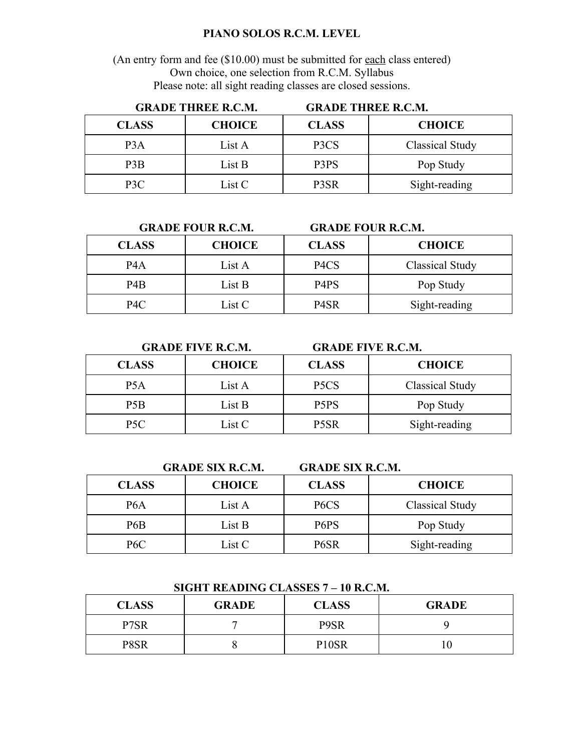#### **PIANO SOLOS R.C.M. LEVEL**

(An entry form and fee (\$10.00) must be submitted for each class entered) Own choice, one selection from R.C.M. Syllabus Please note: all sight reading classes are closed sessions.

| <b>GRADE THREE R.C.M.</b> |               |              | <b>GRADE THREE R.C.M.</b> |
|---------------------------|---------------|--------------|---------------------------|
| <b>CLASS</b>              | <b>CHOICE</b> | <b>CLASS</b> | <b>CHOICE</b>             |
| P <sub>3</sub> A          | List A        | P3CS         | Classical Study           |
| P <sub>3</sub> B          | List B        | P3PS         | Pop Study                 |
| P <sub>3</sub> C          | List C        | P3SR         | Sight-reading             |

|                  | <b>GRADE FOUR R.C.M.</b> | <b>GRADE FOUR R.C.M.</b>      |                 |
|------------------|--------------------------|-------------------------------|-----------------|
| <b>CLASS</b>     | <b>CHOICE</b>            | <b>CLASS</b>                  | <b>CHOICE</b>   |
| P <sub>4</sub> A | List A                   | P <sub>4</sub> C <sub>S</sub> | Classical Study |
| P <sub>4</sub> B | List B                   | P <sub>4</sub> P <sub>S</sub> | Pop Study       |
| P4C              | List C                   | P <sub>4</sub> SR             | Sight-reading   |

**GRADE FIVE R.C.M. GRADE FIVE R.C.M.**

| <b>CLASS</b> | <b>CHOICE</b> | <b>CLASS</b>                  | <b>CHOICE</b>          |
|--------------|---------------|-------------------------------|------------------------|
| P5A          | List A        | P <sub>5</sub> C <sub>S</sub> | <b>Classical Study</b> |
| P5B          | List B        | P <sub>5</sub> P <sub>S</sub> | Pop Study              |
| P5C          | List C        | P <sub>5</sub> SR             | Sight-reading          |

**GRADE SIX R.C.M. GRADE SIX R.C.M.**

| <b>CLASS</b> | <b>CHOICE</b> | <b>CLASS</b>                  | <b>CHOICE</b>   |
|--------------|---------------|-------------------------------|-----------------|
| P6A          | List A        | P <sub>6</sub> C <sub>S</sub> | Classical Study |
| P6B          | List B        | P <sub>6</sub> P <sub>S</sub> | Pop Study       |
| P6C          | List C        | P <sub>6</sub> SR             | Sight-reading   |

| <b>CLASS</b> | <b>GRADE</b> | <b>CLASS</b>       | <b>GRADE</b> |
|--------------|--------------|--------------------|--------------|
| P7SR         |              | P9SR               |              |
| P8SR         |              | P <sub>10</sub> SR |              |

#### **SIGHT READING CLASSES 7 – 10 R.C.M.**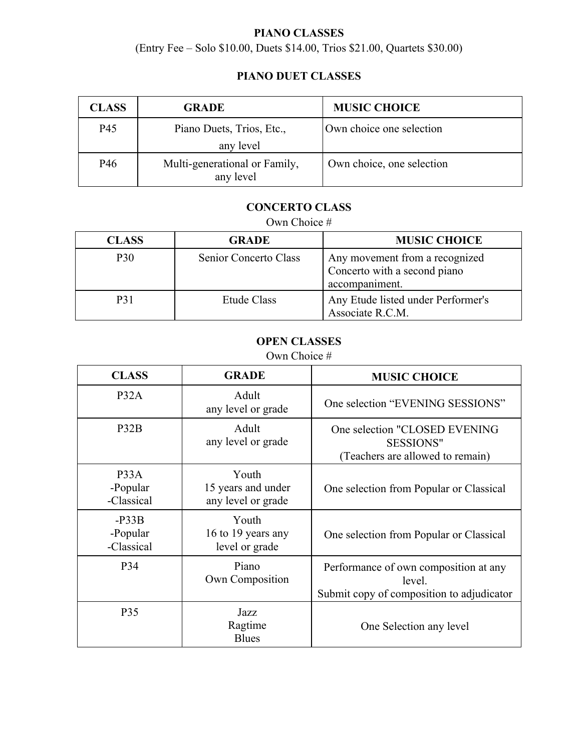# **PIANO CLASSES**

(Entry Fee – Solo \$10.00, Duets \$14.00, Trios \$21.00, Quartets \$30.00)

# **PIANO DUET CLASSES**

| <b>CLASS</b>    | <b>GRADE</b>                               | <b>MUSIC CHOICE</b>       |
|-----------------|--------------------------------------------|---------------------------|
| P45             | Piano Duets, Trios, Etc.,                  | Own choice one selection  |
|                 | any level                                  |                           |
| P <sub>46</sub> | Multi-generational or Family,<br>any level | Own choice, one selection |

# **CONCERTO CLASS**

# Own Choice #

| <b>CLASS</b>    | <b>GRADE</b>          | <b>MUSIC CHOICE</b>                                                              |
|-----------------|-----------------------|----------------------------------------------------------------------------------|
| P <sub>30</sub> | Senior Concerto Class | Any movement from a recognized<br>Concerto with a second piano<br>accompaniment. |
| P31             | Etude Class           | Any Etude listed under Performer's<br>Associate R.C.M.                           |

# **OPEN CLASSES**

Own Choice #

| <b>CLASS</b>                      | <b>GRADE</b>                                      | <b>MUSIC CHOICE</b>                                                                          |
|-----------------------------------|---------------------------------------------------|----------------------------------------------------------------------------------------------|
| P32A                              | Adult<br>any level or grade                       | One selection "EVENING SESSIONS"                                                             |
| P32B                              | Adult<br>any level or grade                       | One selection "CLOSED EVENING<br><b>SESSIONS"</b><br>(Teachers are allowed to remain)        |
| P33A<br>-Popular<br>-Classical    | Youth<br>15 years and under<br>any level or grade | One selection from Popular or Classical                                                      |
| $-P33B$<br>-Popular<br>-Classical | Youth<br>16 to 19 years any<br>level or grade     | One selection from Popular or Classical                                                      |
| P34                               | Piano<br>Own Composition                          | Performance of own composition at any<br>level.<br>Submit copy of composition to adjudicator |
| P35                               | Jazz<br>Ragtime<br><b>Blues</b>                   | One Selection any level                                                                      |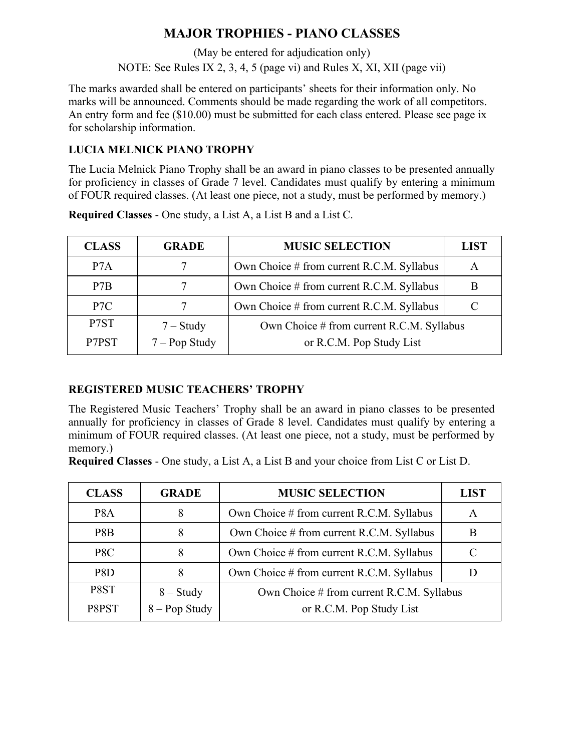# **MAJOR TROPHIES - PIANO CLASSES**

(May be entered for adjudication only) NOTE: See Rules IX 2, 3, 4, 5 (page vi) and Rules X, XI, XII (page vii)

The marks awarded shall be entered on participants' sheets for their information only. No marks will be announced. Comments should be made regarding the work of all competitors. An entry form and fee (\$10.00) must be submitted for each class entered. Please see page ix for scholarship information.

# **LUCIA MELNICK PIANO TROPHY**

The Lucia Melnick Piano Trophy shall be an award in piano classes to be presented annually for proficiency in classes of Grade 7 level. Candidates must qualify by entering a minimum of FOUR required classes. (At least one piece, not a study, must be performed by memory.)

| <b>CLASS</b>     | <b>GRADE</b>                   | <b>MUSIC SELECTION</b>                                                | <b>LIST</b> |
|------------------|--------------------------------|-----------------------------------------------------------------------|-------------|
| P <sub>7</sub> A |                                | Own Choice # from current R.C.M. Syllabus                             | A           |
| P7B              |                                | Own Choice # from current R.C.M. Syllabus                             |             |
| P <sub>7C</sub>  |                                | Own Choice # from current R.C.M. Syllabus                             | $\subset$   |
| P7ST<br>P7PST    | $7 - Study$<br>$7 - Pop$ Study | Own Choice # from current R.C.M. Syllabus<br>or R.C.M. Pop Study List |             |

**Required Classes** - One study, a List A, a List B and a List C.

# **REGISTERED MUSIC TEACHERS' TROPHY**

The Registered Music Teachers' Trophy shall be an award in piano classes to be presented annually for proficiency in classes of Grade 8 level. Candidates must qualify by entering a minimum of FOUR required classes. (At least one piece, not a study, must be performed by memory.)

**Required Classes** - One study, a List A, a List B and your choice from List C or List D.

| <b>CLASS</b>     | <b>GRADE</b>                   | <b>MUSIC SELECTION</b>                    | <b>LIST</b> |
|------------------|--------------------------------|-------------------------------------------|-------------|
| P <sub>8</sub> A | 8                              | Own Choice # from current R.C.M. Syllabus | A           |
| P8B              |                                | Own Choice # from current R.C.M. Syllabus | B           |
| P8C              |                                | Own Choice # from current R.C.M. Syllabus | C           |
| P8D              | 8                              | Own Choice # from current R.C.M. Syllabus |             |
| P8ST             |                                | Own Choice # from current R.C.M. Syllabus |             |
| P8PST            | $8 - Study$<br>$8 - Pop Study$ | or R.C.M. Pop Study List                  |             |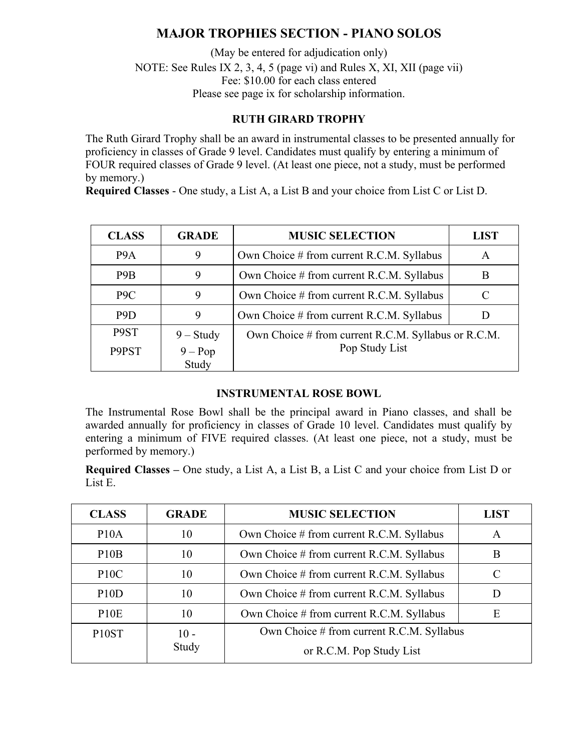# **MAJOR TROPHIES SECTION - PIANO SOLOS**

(May be entered for adjudication only) NOTE: See Rules IX 2, 3, 4, 5 (page vi) and Rules X, XI, XII (page vii) Fee: \$10.00 for each class entered Please see page ix for scholarship information.

#### **RUTH GIRARD TROPHY**

The Ruth Girard Trophy shall be an award in instrumental classes to be presented annually for proficiency in classes of Grade 9 level. Candidates must qualify by entering a minimum of FOUR required classes of Grade 9 level. (At least one piece, not a study, must be performed by memory.)

**Required Classes** - One study, a List A, a List B and your choice from List C or List D.

| <b>CLASS</b>     | <b>GRADE</b> | <b>MUSIC SELECTION</b>                              | <b>LIST</b> |
|------------------|--------------|-----------------------------------------------------|-------------|
| P <sub>9</sub> A | 9            | Own Choice # from current R.C.M. Syllabus           | A           |
| P <sub>9</sub> B | 9            | Own Choice # from current R.C.M. Syllabus           | B           |
| P <sub>9</sub> C | 9            | Own Choice # from current R.C.M. Syllabus           |             |
| P <sub>9</sub> D | 9            | Own Choice # from current R.C.M. Syllabus           |             |
| P9ST             | $9 - Study$  | Own Choice # from current R.C.M. Syllabus or R.C.M. |             |
| P9PST            | $9 - Pop$    | Pop Study List                                      |             |
|                  | Study        |                                                     |             |

#### **INSTRUMENTAL ROSE BOWL**

The Instrumental Rose Bowl shall be the principal award in Piano classes, and shall be awarded annually for proficiency in classes of Grade 10 level. Candidates must qualify by entering a minimum of FIVE required classes. (At least one piece, not a study, must be performed by memory.)

**Required Classes –** One study, a List A, a List B, a List C and your choice from List D or List E.

| <b>CLASS</b>       | <b>GRADE</b> | <b>MUSIC SELECTION</b>                    | <b>LIST</b> |
|--------------------|--------------|-------------------------------------------|-------------|
| P <sub>10</sub> A  | 10           | Own Choice # from current R.C.M. Syllabus | A           |
| P10B               | 10           | Own Choice # from current R.C.M. Syllabus | Β           |
| P10C               | 10           | Own Choice # from current R.C.M. Syllabus | C           |
| P10D               | 10           | Own Choice # from current R.C.M. Syllabus |             |
| P10E               | 10           | Own Choice # from current R.C.M. Syllabus | Ε           |
| P <sub>10</sub> ST | $10 -$       | Own Choice # from current R.C.M. Syllabus |             |
|                    | Study        | or R.C.M. Pop Study List                  |             |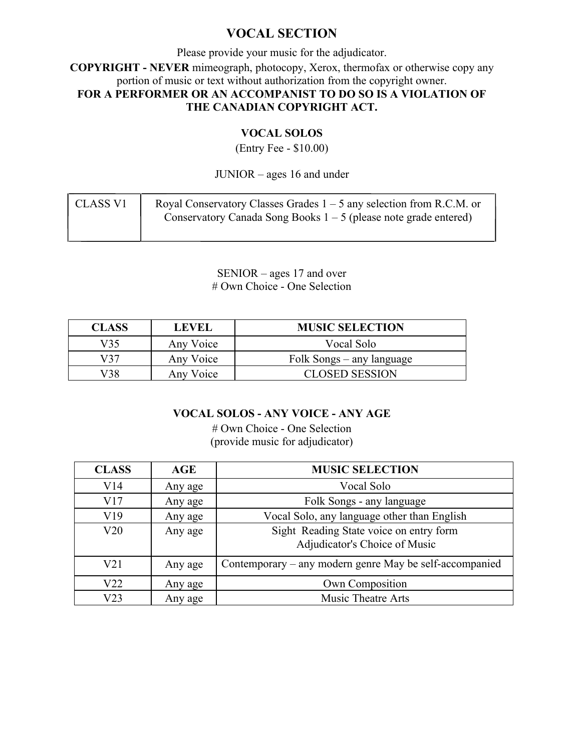# **VOCAL SECTION**

Please provide your music for the adjudicator. **COPYRIGHT - NEVER** mimeograph, photocopy, Xerox, thermofax or otherwise copy any portion of music or text without authorization from the copyright owner. **FOR A PERFORMER OR AN ACCOMPANIST TO DO SO IS A VIOLATION OF THE CANADIAN COPYRIGHT ACT.**

#### **VOCAL SOLOS**

(Entry Fee - \$10.00)

JUNIOR – ages 16 and under

| CLASS V1 | Royal Conservatory Classes Grades $1 - 5$ any selection from R.C.M. or |
|----------|------------------------------------------------------------------------|
|          | Conservatory Canada Song Books $1 - 5$ (please note grade entered)     |

SENIOR – ages 17 and over # Own Choice - One Selection

| <b>CLASS</b> | <b>LEVEL</b> | <b>MUSIC SELECTION</b>    |
|--------------|--------------|---------------------------|
| V35          | Any Voice    | Vocal Solo                |
| V37          | Any Voice    | Folk Songs – any language |
| V38          | Any Voice    | <b>CLOSED SESSION</b>     |

### **VOCAL SOLOS - ANY VOICE - ANY AGE**

# Own Choice - One Selection (provide music for adjudicator)

| <b>CLASS</b>    | AGE     | <b>MUSIC SELECTION</b>                                                   |
|-----------------|---------|--------------------------------------------------------------------------|
| V14             | Any age | Vocal Solo                                                               |
| V17             | Any age | Folk Songs - any language                                                |
| V19             | Any age | Vocal Solo, any language other than English                              |
| V20             | Any age | Sight Reading State voice on entry form<br>Adjudicator's Choice of Music |
| V <sub>21</sub> | Any age | Contemporary – any modern genre May be self-accompanied                  |
| V22             | Any age | Own Composition                                                          |
| V <sub>23</sub> | Any age | <b>Music Theatre Arts</b>                                                |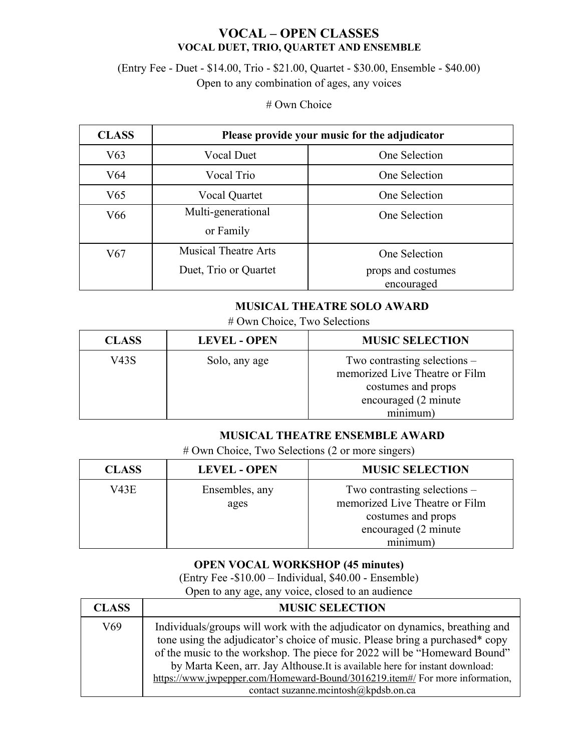# **VOCAL – OPEN CLASSES VOCAL DUET, TRIO, QUARTET AND ENSEMBLE**

# (Entry Fee - Duet - \$14.00, Trio - \$21.00, Quartet - \$30.00, Ensemble - \$40.00) Open to any combination of ages, any voices

#### # Own Choice

| <b>CLASS</b>    | Please provide your music for the adjudicator |                    |
|-----------------|-----------------------------------------------|--------------------|
| V63             | <b>Vocal Duet</b>                             | One Selection      |
| V64             | Vocal Trio                                    | One Selection      |
| V <sub>65</sub> | Vocal Quartet                                 | One Selection      |
| V66             | Multi-generational                            | One Selection      |
|                 | or Family                                     |                    |
| V67             | <b>Musical Theatre Arts</b>                   | One Selection      |
|                 | Duet, Trio or Quartet                         | props and costumes |
|                 |                                               | encouraged         |

#### **MUSICAL THEATRE SOLO AWARD**

# Own Choice, Two Selections

| <b>CLASS</b> | <b>LEVEL - OPEN</b> | <b>MUSIC SELECTION</b>                                                                                                     |
|--------------|---------------------|----------------------------------------------------------------------------------------------------------------------------|
| V43S         | Solo, any age       | Two contrasting selections $-$<br>memorized Live Theatre or Film<br>costumes and props<br>encouraged (2 minute<br>minimum) |

#### **MUSICAL THEATRE ENSEMBLE AWARD**

# Own Choice, Two Selections (2 or more singers)

| <b>CLASS</b> | <b>LEVEL - OPEN</b>    | <b>MUSIC SELECTION</b>                                           |
|--------------|------------------------|------------------------------------------------------------------|
| V43E         | Ensembles, any<br>ages | Two contrasting selections $-$<br>memorized Live Theatre or Film |
|              |                        | costumes and props<br>encouraged (2 minute                       |
|              |                        | minimum)                                                         |

### **OPEN VOCAL WORKSHOP (45 minutes)**

(Entry Fee -\$10.00 – Individual, \$40.00 - Ensemble) Open to any age, any voice, closed to an audience

| <b>CLASS</b> | <b>MUSIC SELECTION</b>                                                                                                                                                                                                                                                                                                                                                                                                                            |
|--------------|---------------------------------------------------------------------------------------------------------------------------------------------------------------------------------------------------------------------------------------------------------------------------------------------------------------------------------------------------------------------------------------------------------------------------------------------------|
| V69          | Individuals/groups will work with the adjudicator on dynamics, breathing and<br>tone using the adjudicator's choice of music. Please bring a purchased* copy<br>of the music to the workshop. The piece for 2022 will be "Homeward Bound"<br>by Marta Keen, arr. Jay Althouse. It is available here for instant download:<br>https://www.jwpepper.com/Homeward-Bound/3016219.item#/ For more information,<br>contact suzanne.mcintosh@kpdsb.on.ca |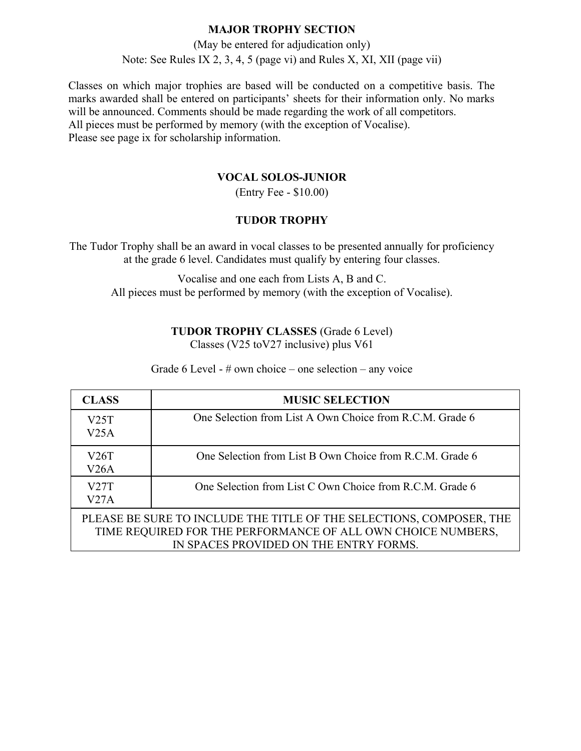(May be entered for adjudication only) Note: See Rules IX 2, 3, 4, 5 (page vi) and Rules X, XI, XII (page vii)

Classes on which major trophies are based will be conducted on a competitive basis. The marks awarded shall be entered on participants' sheets for their information only. No marks will be announced. Comments should be made regarding the work of all competitors. All pieces must be performed by memory (with the exception of Vocalise). Please see page ix for scholarship information.

#### **VOCAL SOLOS-JUNIOR**

(Entry Fee - \$10.00)

#### **TUDOR TROPHY**

The Tudor Trophy shall be an award in vocal classes to be presented annually for proficiency at the grade 6 level. Candidates must qualify by entering four classes.

Vocalise and one each from Lists A, B and C. All pieces must be performed by memory (with the exception of Vocalise).

# **TUDOR TROPHY CLASSES** (Grade 6 Level)

Classes (V25 toV27 inclusive) plus V61

Grade 6 Level - # own choice – one selection – any voice

| <b>CLASS</b>                                                                                                                                                                   | <b>MUSIC SELECTION</b>                                   |
|--------------------------------------------------------------------------------------------------------------------------------------------------------------------------------|----------------------------------------------------------|
| V25T<br>V25A                                                                                                                                                                   | One Selection from List A Own Choice from R.C.M. Grade 6 |
| V26T<br>V26A                                                                                                                                                                   | One Selection from List B Own Choice from R.C.M. Grade 6 |
| V27T<br>V27A                                                                                                                                                                   | One Selection from List C Own Choice from R.C.M. Grade 6 |
| PLEASE BE SURE TO INCLUDE THE TITLE OF THE SELECTIONS, COMPOSER, THE<br>TIME REQUIRED FOR THE PERFORMANCE OF ALL OWN CHOICE NUMBERS,<br>IN SPACES PROVIDED ON THE ENTRY FORMS. |                                                          |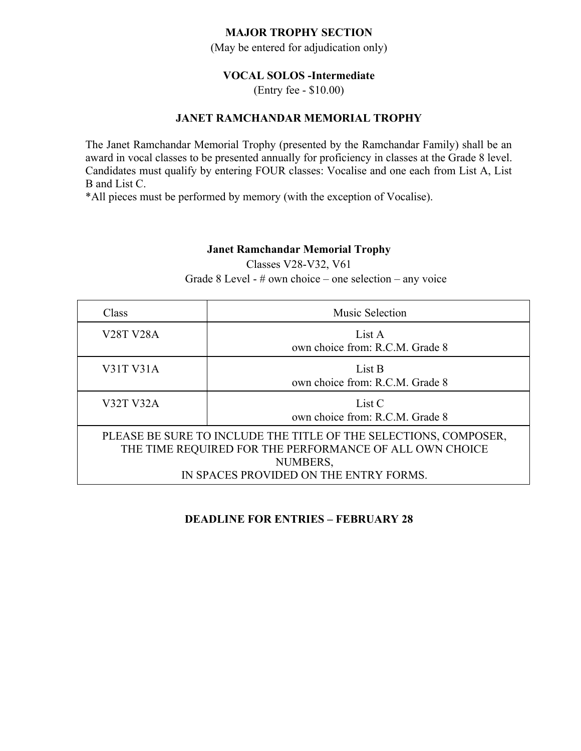(May be entered for adjudication only)

#### **VOCAL SOLOS -Intermediate**

(Entry fee - \$10.00)

#### **JANET RAMCHANDAR MEMORIAL TROPHY**

The Janet Ramchandar Memorial Trophy (presented by the Ramchandar Family) shall be an award in vocal classes to be presented annually for proficiency in classes at the Grade 8 level. Candidates must qualify by entering FOUR classes: Vocalise and one each from List A, List B and List C.

\*All pieces must be performed by memory (with the exception of Vocalise).

#### **Janet Ramchandar Memorial Trophy**

Classes V28-V32, V61

Grade 8 Level - # own choice – one selection – any voice

| Class                                                                                                                                                                             | Music Selection                           |  |  |
|-----------------------------------------------------------------------------------------------------------------------------------------------------------------------------------|-------------------------------------------|--|--|
| <b>V28T V28A</b>                                                                                                                                                                  | List A<br>own choice from: R.C.M. Grade 8 |  |  |
| V31T V31A                                                                                                                                                                         | List B<br>own choice from: R.C.M. Grade 8 |  |  |
| <b>V32T V32A</b>                                                                                                                                                                  | List C<br>own choice from: R.C.M. Grade 8 |  |  |
| PLEASE BE SURE TO INCLUDE THE TITLE OF THE SELECTIONS, COMPOSER,<br>THE TIME REQUIRED FOR THE PERFORMANCE OF ALL OWN CHOICE<br>NUMBERS,<br>IN SPACES PROVIDED ON THE ENTRY FORMS. |                                           |  |  |

#### **DEADLINE FOR ENTRIES – FEBRUARY 28**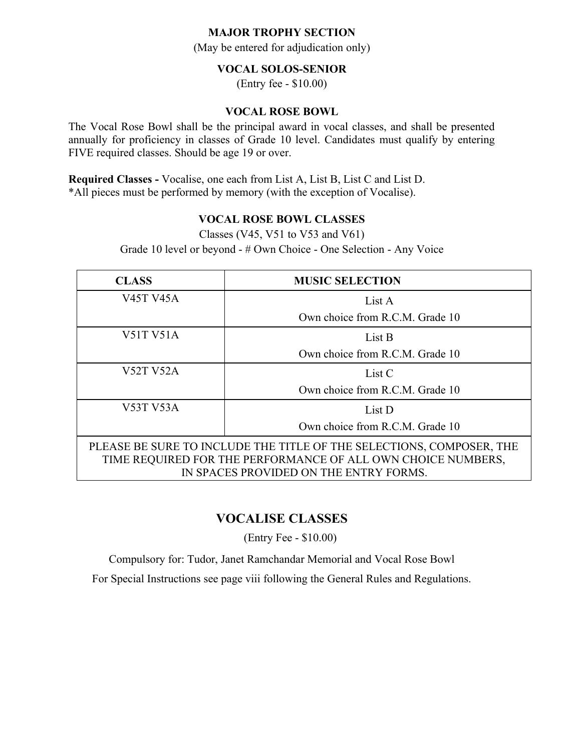(May be entered for adjudication only)

#### **VOCAL SOLOS-SENIOR**

(Entry fee - \$10.00)

#### **VOCAL ROSE BOWL**

The Vocal Rose Bowl shall be the principal award in vocal classes, and shall be presented annually for proficiency in classes of Grade 10 level. Candidates must qualify by entering FIVE required classes. Should be age 19 or over.

**Required Classes -** Vocalise, one each from List A, List B, List C and List D. \*All pieces must be performed by memory (with the exception of Vocalise).

#### **VOCAL ROSE BOWL CLASSES**

Classes (V45, V51 to V53 and V61)

Grade 10 level or beyond - # Own Choice - One Selection - Any Voice

| <b>CLASS</b>                                                                                           | <b>MUSIC SELECTION</b>          |  |
|--------------------------------------------------------------------------------------------------------|---------------------------------|--|
| <b>V45T V45A</b>                                                                                       | List A                          |  |
|                                                                                                        | Own choice from R.C.M. Grade 10 |  |
| V51T V51A                                                                                              | List B                          |  |
|                                                                                                        | Own choice from R.C.M. Grade 10 |  |
| <b>V52T V52A</b>                                                                                       | List C                          |  |
|                                                                                                        | Own choice from R.C.M. Grade 10 |  |
| <b>V53T V53A</b>                                                                                       | List D                          |  |
| Own choice from R.C.M. Grade 10                                                                        |                                 |  |
| PLEASE BE SURE TO INCLUDE THE TITLE OF THE SELECTIONS, COMPOSER, THE                                   |                                 |  |
| TIME REQUIRED FOR THE PERFORMANCE OF ALL OWN CHOICE NUMBERS,<br>IN SPACES PROVIDED ON THE ENTRY FORMS. |                                 |  |

# **VOCALISE CLASSES**

(Entry Fee - \$10.00)

Compulsory for: Tudor, Janet Ramchandar Memorial and Vocal Rose Bowl

For Special Instructions see page viii following the General Rules and Regulations.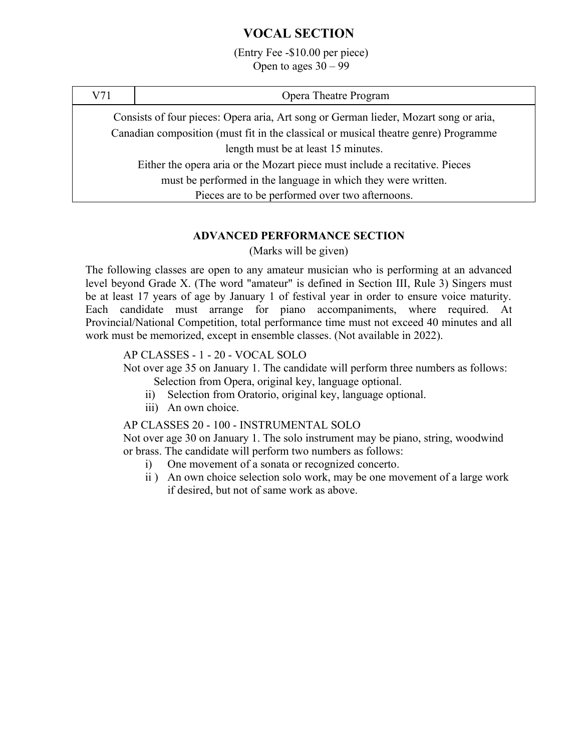# **VOCAL SECTION**

(Entry Fee -\$10.00 per piece) Open to ages  $30 - 99$ 

| V71                                                                                  | Opera Theatre Program                                                               |  |
|--------------------------------------------------------------------------------------|-------------------------------------------------------------------------------------|--|
| Consists of four pieces: Opera aria, Art song or German lieder, Mozart song or aria, |                                                                                     |  |
|                                                                                      | Canadian composition (must fit in the classical or musical theatre genre) Programme |  |
| length must be at least 15 minutes.                                                  |                                                                                     |  |
| Either the opera aria or the Mozart piece must include a recitative. Pieces          |                                                                                     |  |
| must be performed in the language in which they were written.                        |                                                                                     |  |
| Pieces are to be performed over two afternoons.                                      |                                                                                     |  |

#### **ADVANCED PERFORMANCE SECTION**

(Marks will be given)

The following classes are open to any amateur musician who is performing at an advanced level beyond Grade X. (The word "amateur" is defined in Section III, Rule 3) Singers must be at least 17 years of age by January 1 of festival year in order to ensure voice maturity. Each candidate must arrange for piano accompaniments, where required. At Provincial/National Competition, total performance time must not exceed 40 minutes and all work must be memorized, except in ensemble classes. (Not available in 2022).

#### AP CLASSES - 1 - 20 - VOCAL SOLO

Not over age 35 on January 1. The candidate will perform three numbers as follows: Selection from Opera, original key, language optional.

- ii) Selection from Oratorio, original key, language optional.
- iii) An own choice.

AP CLASSES 20 - 100 - INSTRUMENTAL SOLO

Not over age 30 on January 1. The solo instrument may be piano, string, woodwind or brass. The candidate will perform two numbers as follows:

- i) One movement of a sonata or recognized concerto.
- ii ) An own choice selection solo work, may be one movement of a large work if desired, but not of same work as above.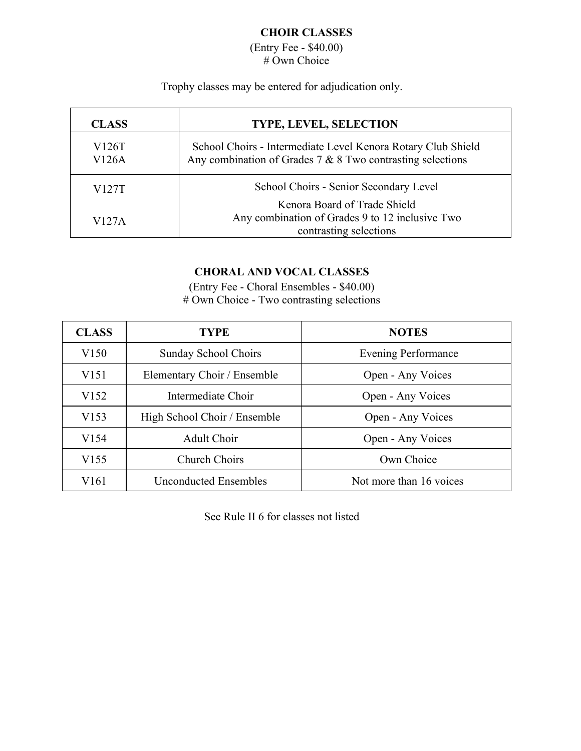# **CHOIR CLASSES**

(Entry Fee - \$40.00) # Own Choice

Trophy classes may be entered for adjudication only.

| <b>CLASS</b>   | <b>TYPE, LEVEL, SELECTION</b>                                                                                                |  |
|----------------|------------------------------------------------------------------------------------------------------------------------------|--|
| V126T<br>V126A | School Choirs - Intermediate Level Kenora Rotary Club Shield<br>Any combination of Grades $7 & 8$ Two contrasting selections |  |
| V127T          | School Choirs - Senior Secondary Level                                                                                       |  |
| V127A          | Kenora Board of Trade Shield<br>Any combination of Grades 9 to 12 inclusive Two<br>contrasting selections                    |  |

# **CHORAL AND VOCAL CLASSES**

(Entry Fee - Choral Ensembles - \$40.00) # Own Choice - Two contrasting selections

| <b>CLASS</b>     | <b>TYPE</b>                  | <b>NOTES</b>               |
|------------------|------------------------------|----------------------------|
| V <sub>150</sub> | Sunday School Choirs         | <b>Evening Performance</b> |
| V <sub>151</sub> | Elementary Choir / Ensemble  | Open - Any Voices          |
| V <sub>152</sub> | Intermediate Choir           | Open - Any Voices          |
| V153             | High School Choir / Ensemble | Open - Any Voices          |
| V <sub>154</sub> | <b>Adult Choir</b>           | Open - Any Voices          |
| V <sub>155</sub> | Church Choirs                | Own Choice                 |
| V161             | Unconducted Ensembles        | Not more than 16 voices    |

See Rule II 6 for classes not listed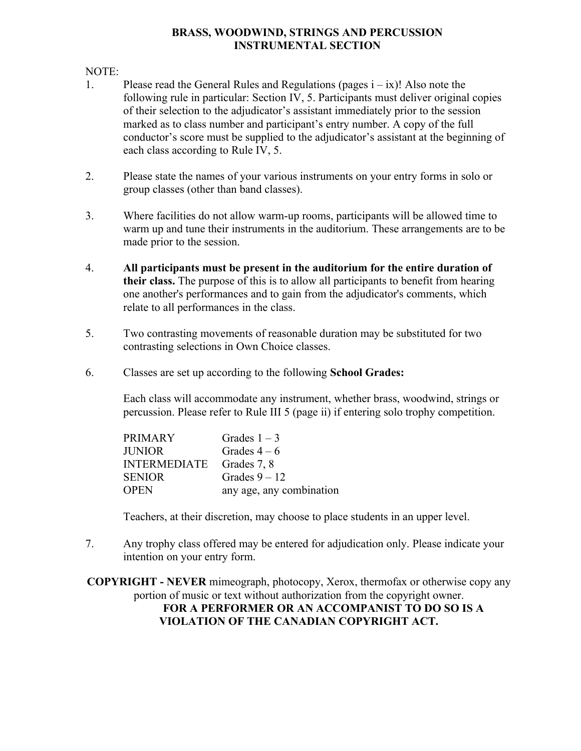#### **BRASS, WOODWIND, STRINGS AND PERCUSSION INSTRUMENTAL SECTION**

#### NOTE:

- 1. Please read the General Rules and Regulations (pages  $i ix$ )! Also note the following rule in particular: Section IV, 5. Participants must deliver original copies of their selection to the adjudicator's assistant immediately prior to the session marked as to class number and participant's entry number. A copy of the full conductor's score must be supplied to the adjudicator's assistant at the beginning of each class according to Rule IV, 5.
- 2. Please state the names of your various instruments on your entry forms in solo or group classes (other than band classes).
- 3. Where facilities do not allow warm-up rooms, participants will be allowed time to warm up and tune their instruments in the auditorium. These arrangements are to be made prior to the session.
- 4. **All participants must be present in the auditorium for the entire duration of their class.** The purpose of this is to allow all participants to benefit from hearing one another's performances and to gain from the adjudicator's comments, which relate to all performances in the class.
- 5. Two contrasting movements of reasonable duration may be substituted for two contrasting selections in Own Choice classes.
- 6. Classes are set up according to the following **School Grades:**

Each class will accommodate any instrument, whether brass, woodwind, strings or percussion. Please refer to Rule III 5 (page ii) if entering solo trophy competition.

| <b>PRIMARY</b>           | Grades $1-3$             |
|--------------------------|--------------------------|
| <b>JUNIOR</b>            | Grades $4-6$             |
| INTERMEDIATE Grades 7, 8 |                          |
| <b>SENIOR</b>            | Grades $9 - 12$          |
| <b>OPEN</b>              | any age, any combination |

Teachers, at their discretion, may choose to place students in an upper level.

7. Any trophy class offered may be entered for adjudication only. Please indicate your intention on your entry form.

**COPYRIGHT - NEVER** mimeograph, photocopy, Xerox, thermofax or otherwise copy any portion of music or text without authorization from the copyright owner. **FOR A PERFORMER OR AN ACCOMPANIST TO DO SO IS A**

**VIOLATION OF THE CANADIAN COPYRIGHT ACT.**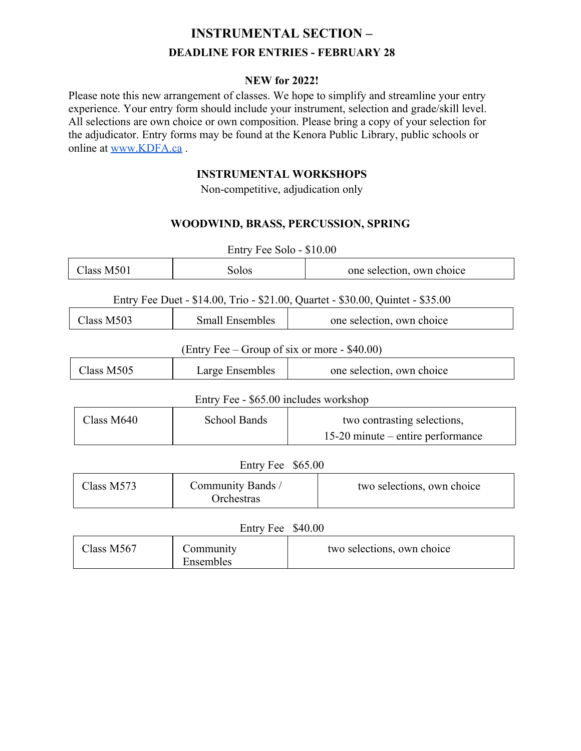# **INSTRUMENTAL SECTION – DEADLINE FOR ENTRIES - FEBRUARY 28**

#### **NEW for 2022!**

Please note this new arrangement of classes. We hope to simplify and streamline your entry experience. Your entry form should include your instrument, selection and grade/skill level. All selections are own choice or own composition. Please bring a copy of your selection for the adjudicator. Entry forms may be found at the Kenora Public Library, public schools or online at www.KDFA.ca .

#### **INSTRUMENTAL WORKSHOPS**

Non-competitive, adjudication only

# **WOODWIND, BRASS, PERCUSSION, SPRING**

| Entry Fee Solo - \$10.00                                                       |                                 |                                     |
|--------------------------------------------------------------------------------|---------------------------------|-------------------------------------|
| Class M501                                                                     | Solos                           | one selection, own choice           |
| Entry Fee Duet - \$14.00, Trio - \$21.00, Quartet - \$30.00, Quintet - \$35.00 |                                 |                                     |
| Class M503                                                                     | <b>Small Ensembles</b>          | one selection, own choice           |
| (Entry Fee – Group of six or more - $$40.00$ )                                 |                                 |                                     |
| Class M505                                                                     | Large Ensembles                 | one selection, own choice           |
| Entry Fee - \$65.00 includes workshop                                          |                                 |                                     |
| Class M640                                                                     | <b>School Bands</b>             | two contrasting selections,         |
|                                                                                |                                 | $15-20$ minute – entire performance |
| Entry Fee \$65.00                                                              |                                 |                                     |
| Class M573                                                                     | Community Bands /<br>Orchestras | two selections, own choice          |
| Entry Fee \$40.00                                                              |                                 |                                     |
| Class M567                                                                     | Community<br>Ensembles          | two selections, own choice          |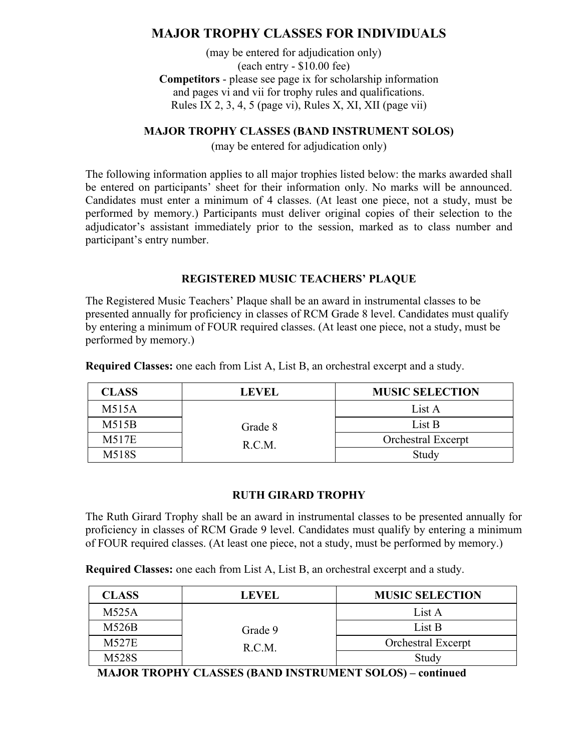# **MAJOR TROPHY CLASSES FOR INDIVIDUALS**

(may be entered for adjudication only) (each entry - \$10.00 fee) **Competitors** - please see page ix for scholarship information and pages vi and vii for trophy rules and qualifications. Rules IX 2, 3, 4, 5 (page vi), Rules X, XI, XII (page vii)

#### **MAJOR TROPHY CLASSES (BAND INSTRUMENT SOLOS)**

(may be entered for adjudication only)

The following information applies to all major trophies listed below: the marks awarded shall be entered on participants' sheet for their information only. No marks will be announced. Candidates must enter a minimum of 4 classes. (At least one piece, not a study, must be performed by memory.) Participants must deliver original copies of their selection to the adjudicator's assistant immediately prior to the session, marked as to class number and participant's entry number.

#### **REGISTERED MUSIC TEACHERS' PLAQUE**

The Registered Music Teachers' Plaque shall be an award in instrumental classes to be presented annually for proficiency in classes of RCM Grade 8 level. Candidates must qualify by entering a minimum of FOUR required classes. (At least one piece, not a study, must be performed by memory.)

| <b>CLASS</b> | <b>LEVEL</b> | <b>MUSIC SELECTION</b> |
|--------------|--------------|------------------------|
| M515A        |              | List A                 |
| M515B        | Grade 8      | List B                 |
| M517E        | R.C.M.       | Orchestral Excerpt     |
| M518S        |              | Study                  |

**Required Classes:** one each from List A, List B, an orchestral excerpt and a study.

#### **RUTH GIRARD TROPHY**

The Ruth Girard Trophy shall be an award in instrumental classes to be presented annually for proficiency in classes of RCM Grade 9 level. Candidates must qualify by entering a minimum of FOUR required classes. (At least one piece, not a study, must be performed by memory.)

**Required Classes:** one each from List A, List B, an orchestral excerpt and a study.

| <b>CLASS</b> | <b>LEVEL</b>      | <b>MUSIC SELECTION</b> |
|--------------|-------------------|------------------------|
| M525A        |                   | List A                 |
| M526B        | Grade 9<br>R.C.M. | List B                 |
| <b>M527E</b> |                   | Orchestral Excerpt     |
| M528S        |                   | Study                  |

**MAJOR TROPHY CLASSES (BAND INSTRUMENT SOLOS) – continued**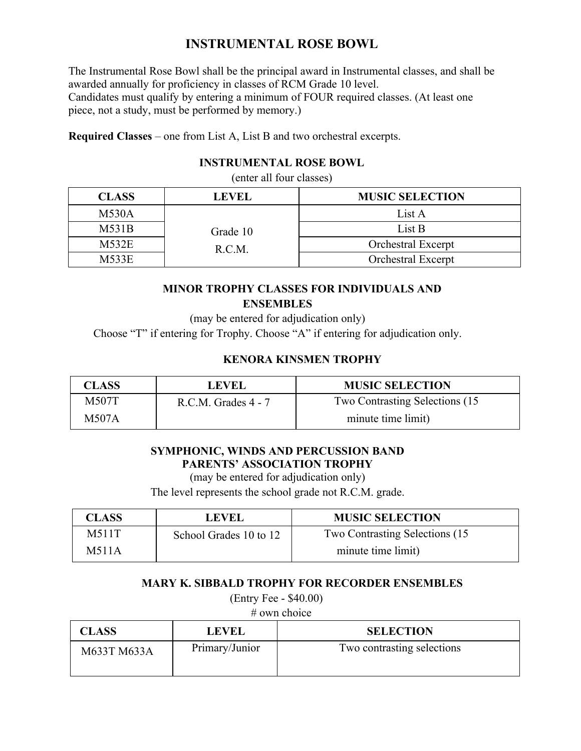# **INSTRUMENTAL ROSE BOWL**

The Instrumental Rose Bowl shall be the principal award in Instrumental classes, and shall be awarded annually for proficiency in classes of RCM Grade 10 level. Candidates must qualify by entering a minimum of FOUR required classes. (At least one piece, not a study, must be performed by memory.)

**Required Classes** – one from List A, List B and two orchestral excerpts.

# **INSTRUMENTAL ROSE BOWL**

(enter all four classes)

| <b>CLASS</b> | <b>LEVEL</b> | <b>MUSIC SELECTION</b>    |
|--------------|--------------|---------------------------|
| M530A        |              | List A                    |
| M531B        | Grade 10     | List B                    |
| M532E        | R.C.M.       | <b>Orchestral Excerpt</b> |
| M533E        |              | <b>Orchestral Excerpt</b> |

# **MINOR TROPHY CLASSES FOR INDIVIDUALS AND ENSEMBLES**

(may be entered for adjudication only)

Choose "T" if entering for Trophy. Choose "A" if entering for adjudication only.

# **KENORA KINSMEN TROPHY**

| CLASS | LEVEL                   | <b>MUSIC SELECTION</b>          |
|-------|-------------------------|---------------------------------|
| M507T | $R.C.M.$ Grades $4 - 7$ | Two Contrasting Selections (15) |
| M507A |                         | minute time limit)              |

# **SYMPHONIC, WINDS AND PERCUSSION BAND PARENTS' ASSOCIATION TROPHY**

(may be entered for adjudication only)

The level represents the school grade not R.C.M. grade.

| CLASS | <b>LEVEL</b>           | <b>MUSIC SELECTION</b>          |
|-------|------------------------|---------------------------------|
| M511T | School Grades 10 to 12 | Two Contrasting Selections (15) |
| M511A |                        | minute time limit)              |

#### **MARY K. SIBBALD TROPHY FOR RECORDER ENSEMBLES**

(Entry Fee - \$40.00)

# own choice

| <b>CLASS</b> | <b>LEVEL</b>   | <b>SELECTION</b>           |
|--------------|----------------|----------------------------|
| M633T M633A  | Primary/Junior | Two contrasting selections |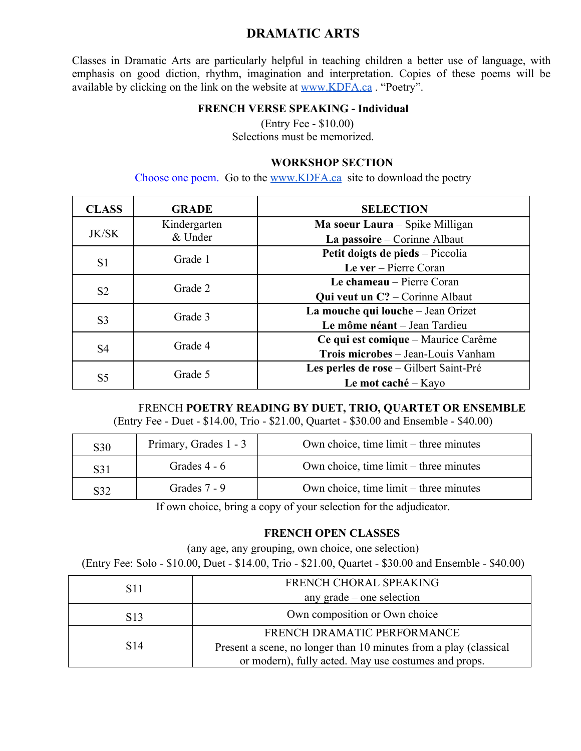# **DRAMATIC ARTS**

Classes in Dramatic Arts are particularly helpful in teaching children a better use of language, with emphasis on good diction, rhythm, imagination and interpretation. Copies of these poems will be available by clicking on the link on the website at www.KDFA.ca . "Poetry".

#### **FRENCH VERSE SPEAKING - Individual**

(Entry Fee - \$10.00) Selections must be memorized.

#### **WORKSHOP SECTION**

Choose one poem. Go to the www.KDFA.ca site to download the poetry

| <b>CLASS</b>   | <b>GRADE</b> | <b>SELECTION</b>                                    |
|----------------|--------------|-----------------------------------------------------|
|                | Kindergarten | Ma soeur Laura – Spike Milligan                     |
| <b>JK/SK</b>   | & Under      | La passoire – Corinne Albaut                        |
|                | Grade 1      | Petit doigts de pieds - Piccolia                    |
| S <sub>1</sub> |              | Le ver $-$ Pierre Coran                             |
|                | Grade 2      | Le chameau – Pierre Coran                           |
| S <sub>2</sub> |              | <b>Qui veut un <math>C</math>?</b> – Corinne Albaut |
| S <sub>3</sub> | Grade 3      | La mouche qui louche - Jean Orizet                  |
|                |              | Le môme néant – Jean Tardieu                        |
| S4             | Grade 4      | Ce qui est comique – Maurice Carême                 |
|                |              | Trois microbes - Jean-Louis Vanham                  |
| S <sub>5</sub> | Grade 5      | Les perles de rose – Gilbert Saint-Pré              |
|                |              | Le mot caché – Kayo                                 |

#### FRENCH **POETRY READING BY DUET, TRIO, QUARTET OR ENSEMBLE**

(Entry Fee - Duet - \$14.00, Trio - \$21.00, Quartet - \$30.00 and Ensemble - \$40.00)

| S <sub>30</sub> | Primary, Grades 1 - 3 | Own choice, time $limit$ – three minutes        |
|-----------------|-----------------------|-------------------------------------------------|
| S31             | Grades $4 - 6$        | Own choice, time $\lim_{x \to 0}$ three minutes |
| S32             | Grades 7 - 9          | Own choice, time $\lim_{x \to 0}$ three minutes |

If own choice, bring a copy of your selection for the adjudicator.

#### **FRENCH OPEN CLASSES**

(any age, any grouping, own choice, one selection) (Entry Fee: Solo - \$10.00, Duet - \$14.00, Trio - \$21.00, Quartet - \$30.00 and Ensemble - \$40.00)

| S <sub>11</sub> | FRENCH CHORAL SPEAKING                                                                                                    |
|-----------------|---------------------------------------------------------------------------------------------------------------------------|
|                 | any grade – one selection                                                                                                 |
| S <sub>13</sub> | Own composition or Own choice                                                                                             |
|                 | FRENCH DRAMATIC PERFORMANCE                                                                                               |
| S <sub>14</sub> | Present a scene, no longer than 10 minutes from a play (classical<br>or modern), fully acted. May use costumes and props. |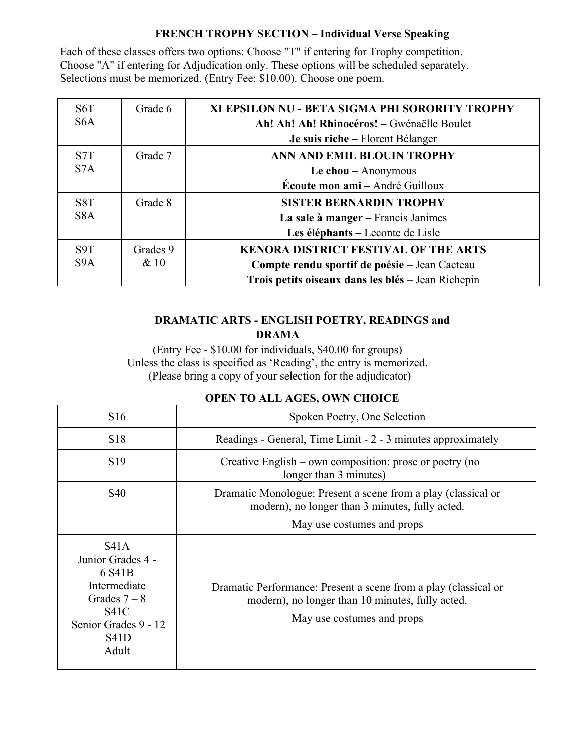### **FRENCH TROPHY SECTION – Individual Verse Speaking**

Each of these classes offers two options: Choose "T" if entering for Trophy competition. Choose "A" if entering for Adjudication only. These options will be scheduled separately. Selections must be memorized. (Entry Fee: \$10.00). Choose one poem.

| S <sub>6</sub> T | Grade 6  | XI EPSILON NU - BETA SIGMA PHI SORORITY TROPHY     |
|------------------|----------|----------------------------------------------------|
| S <sub>6</sub> A |          | Ah! Ah! Ah! Rhinocéros! - Gwénaëlle Boulet         |
|                  |          | Je suis riche – Florent Bélanger                   |
| S <sub>7</sub> T | Grade 7  | ANN AND EMIL BLOUIN TROPHY                         |
| S <sub>7</sub> A |          | Le chou - Anonymous                                |
|                  |          | Écoute mon ami - André Guilloux                    |
| S <sub>8</sub> T | Grade 8  | <b>SISTER BERNARDIN TROPHY</b>                     |
| S <sub>8</sub> A |          | La sale à manger - Francis Janimes                 |
|                  |          | Les éléphants – Leconte de Lisle                   |
| S <sub>9</sub> T | Grades 9 | <b>KENORA DISTRICT FESTIVAL OF THE ARTS</b>        |
| S <sub>9</sub> A | & 10     | Compte rendu sportif de poésie – Jean Cacteau      |
|                  |          | Trois petits oiseaux dans les blés - Jean Richepin |

# **DRAMATIC ARTS - ENGLISH POETRY, READINGS and DRAMA**

(Entry Fee - \$10.00 for individuals, \$40.00 for groups) Unless the class is specified as 'Reading', the entry is memorized. (Please bring a copy of your selection for the adjudicator)

| <b>OPEN TO ALL AGES, OWN CHOICE</b> |  |
|-------------------------------------|--|
|-------------------------------------|--|

| S16                                                                                                                                      | Spoken Poetry, One Selection                                                                                                                      |
|------------------------------------------------------------------------------------------------------------------------------------------|---------------------------------------------------------------------------------------------------------------------------------------------------|
| S <sub>18</sub>                                                                                                                          | Readings - General, Time Limit - 2 - 3 minutes approximately                                                                                      |
| S <sub>19</sub>                                                                                                                          | Creative English – own composition: prose or poetry (no<br>longer than 3 minutes)                                                                 |
| S <sub>40</sub>                                                                                                                          | Dramatic Monologue: Present a scene from a play (classical or<br>modern), no longer than 3 minutes, fully acted.                                  |
|                                                                                                                                          | May use costumes and props                                                                                                                        |
| S41A<br>Junior Grades 4 -<br>6 S41B<br>Intermediate<br>Grades $7-8$<br><b>S41C</b><br>Senior Grades 9 - 12<br>S <sub>41</sub> D<br>Adult | Dramatic Performance: Present a scene from a play (classical or<br>modern), no longer than 10 minutes, fully acted.<br>May use costumes and props |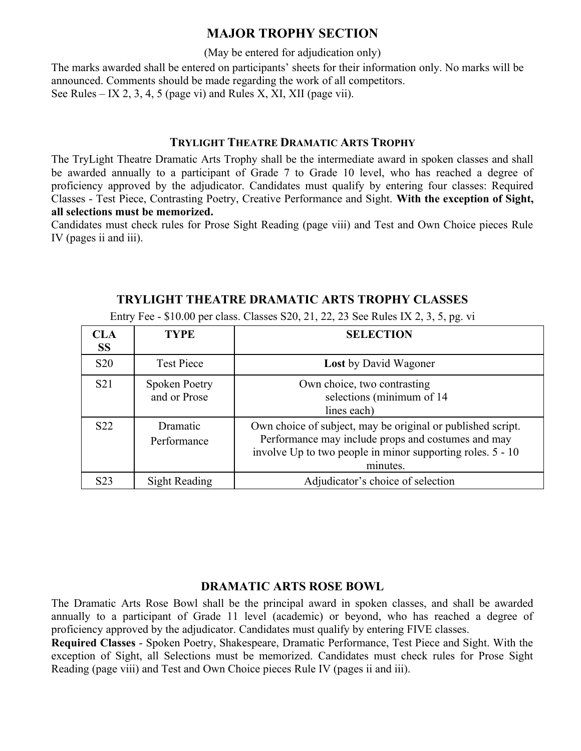(May be entered for adjudication only)

The marks awarded shall be entered on participants' sheets for their information only. No marks will be announced. Comments should be made regarding the work of all competitors. See Rules – IX 2, 3, 4, 5 (page vi) and Rules X, XI, XII (page vii).

#### **TRYLIGHT THEATRE DRAMATIC ARTS TROPHY**

The TryLight Theatre Dramatic Arts Trophy shall be the intermediate award in spoken classes and shall be awarded annually to a participant of Grade 7 to Grade 10 level, who has reached a degree of proficiency approved by the adjudicator. Candidates must qualify by entering four classes: Required Classes - Test Piece, Contrasting Poetry, Creative Performance and Sight. **With the exception of Sight, all selections must be memorized.**

Candidates must check rules for Prose Sight Reading (page viii) and Test and Own Choice pieces Rule IV (pages ii and iii).

| <b>CLA</b><br><b>SS</b> | <b>TYPE</b>                          | <b>SELECTION</b>                                                                                                                                                                            |
|-------------------------|--------------------------------------|---------------------------------------------------------------------------------------------------------------------------------------------------------------------------------------------|
| <b>S20</b>              | <b>Test Piece</b>                    | <b>Lost</b> by David Wagoner                                                                                                                                                                |
| S <sub>21</sub>         | <b>Spoken Poetry</b><br>and or Prose | Own choice, two contrasting<br>selections (minimum of 14<br>lines each)                                                                                                                     |
| S <sub>22</sub>         | Dramatic<br>Performance              | Own choice of subject, may be original or published script.<br>Performance may include props and costumes and may<br>involve Up to two people in minor supporting roles. 5 - 10<br>minutes. |
| S <sub>2</sub> 3        | Sight Reading                        | Adjudicator's choice of selection                                                                                                                                                           |

**TRYLIGHT THEATRE DRAMATIC ARTS TROPHY CLASSES**

Entry Fee - \$10.00 per class. Classes S20, 21, 22, 23 See Rules IX 2, 3, 5, pg. vi

#### **DRAMATIC ARTS ROSE BOWL**

The Dramatic Arts Rose Bowl shall be the principal award in spoken classes, and shall be awarded annually to a participant of Grade 11 level (academic) or beyond, who has reached a degree of proficiency approved by the adjudicator. Candidates must qualify by entering FIVE classes.

**Required Classes** - Spoken Poetry, Shakespeare, Dramatic Performance, Test Piece and Sight. With the exception of Sight, all Selections must be memorized. Candidates must check rules for Prose Sight Reading (page viii) and Test and Own Choice pieces Rule IV (pages ii and iii).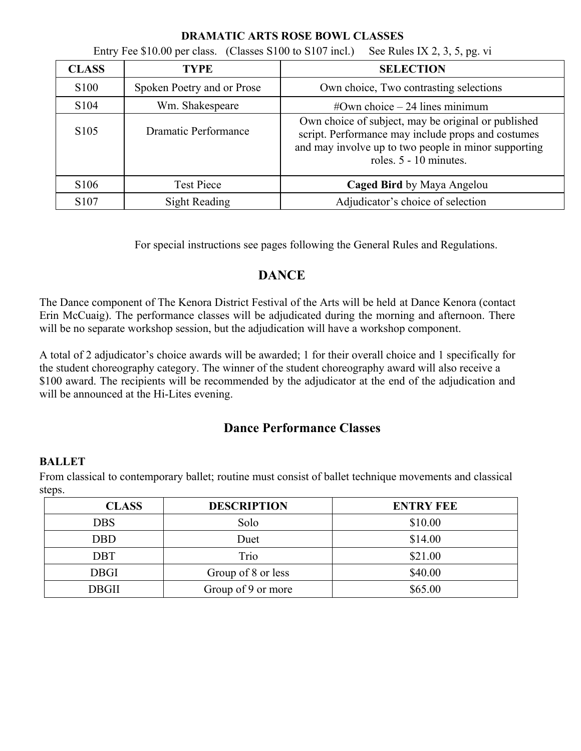| Entry Fee \$10.00 per class. (Classes S100 to S107 incl.)<br>See Rules IX 2, 3, 5, pg. vi |                            |                                                                                                                                                                                             |  |
|-------------------------------------------------------------------------------------------|----------------------------|---------------------------------------------------------------------------------------------------------------------------------------------------------------------------------------------|--|
| <b>CLASS</b>                                                                              | <b>TYPE</b>                | <b>SELECTION</b>                                                                                                                                                                            |  |
| S <sub>100</sub>                                                                          | Spoken Poetry and or Prose | Own choice, Two contrasting selections                                                                                                                                                      |  |
| S <sub>104</sub>                                                                          | Wm. Shakespeare            | $\#$ Own choice $-$ 24 lines minimum                                                                                                                                                        |  |
| S <sub>105</sub>                                                                          | Dramatic Performance       | Own choice of subject, may be original or published<br>script. Performance may include props and costumes<br>and may involve up to two people in minor supporting<br>roles. 5 - 10 minutes. |  |
| S <sub>106</sub>                                                                          | <b>Test Piece</b>          | Caged Bird by Maya Angelou                                                                                                                                                                  |  |
| S107                                                                                      | <b>Sight Reading</b>       | Adjudicator's choice of selection                                                                                                                                                           |  |

#### **DRAMATIC ARTS ROSE BOWL CLASSES**

For special instructions see pages following the General Rules and Regulations.

# **DANCE**

The Dance component of The Kenora District Festival of the Arts will be held at Dance Kenora (contact Erin McCuaig). The performance classes will be adjudicated during the morning and afternoon. There will be no separate workshop session, but the adjudication will have a workshop component.

A total of 2 adjudicator's choice awards will be awarded; 1 for their overall choice and 1 specifically for the student choreography category. The winner of the student choreography award will also receive a \$100 award. The recipients will be recommended by the adjudicator at the end of the adjudication and will be announced at the Hi-Lites evening.

# **Dance Performance Classes**

#### **BALLET**

From classical to contemporary ballet; routine must consist of ballet technique movements and classical steps.

| <b>CLASS</b> | <b>DESCRIPTION</b> | <b>ENTRY FEE</b> |
|--------------|--------------------|------------------|
| DBS          | Solo               | \$10.00          |
| DBD          | Duet               | \$14.00          |
| DBT          | Trio               | \$21.00          |
| <b>DBGI</b>  | Group of 8 or less | \$40.00          |
| DBGII        | Group of 9 or more | \$65.00          |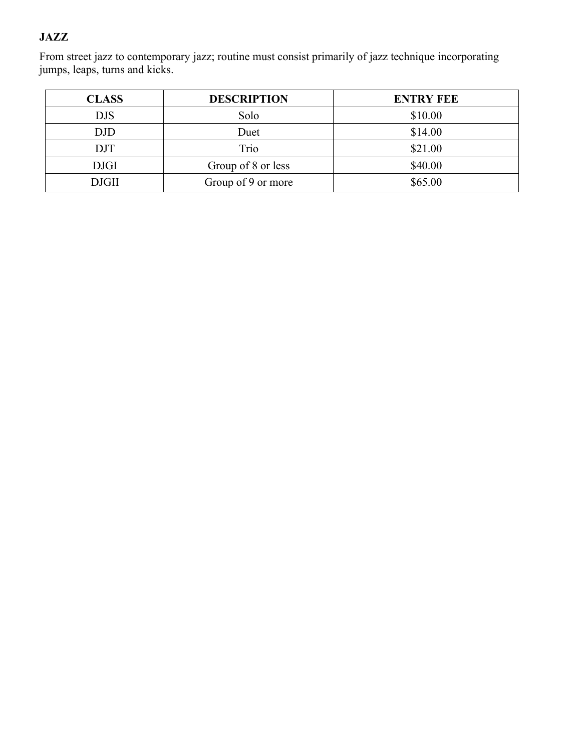# **JAZZ**

From street jazz to contemporary jazz; routine must consist primarily of jazz technique incorporating jumps, leaps, turns and kicks.

| <b>CLASS</b> | <b>DESCRIPTION</b> | <b>ENTRY FEE</b> |
|--------------|--------------------|------------------|
| <b>DJS</b>   | Solo               | \$10.00          |
| DJD          | Duet               | \$14.00          |
| DJT          | Trio               | \$21.00          |
| <b>DJGI</b>  | Group of 8 or less | \$40.00          |
| <b>DJGII</b> | Group of 9 or more | \$65.00          |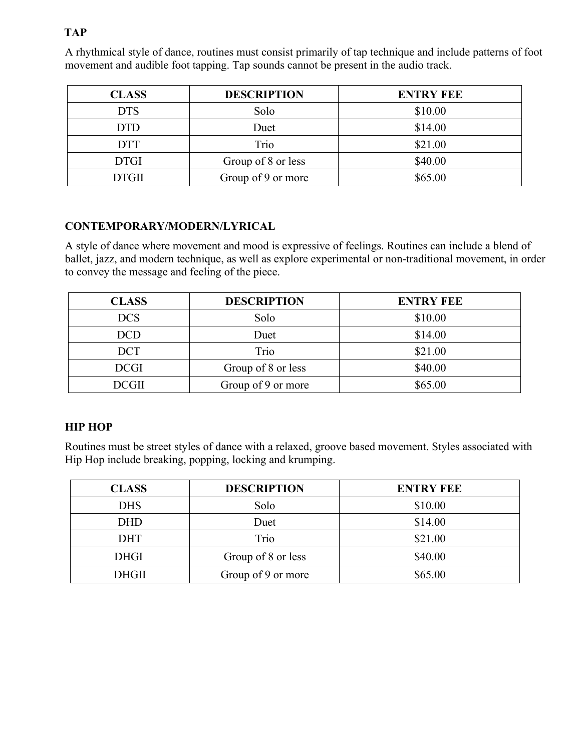# **TAP**

| <b>CLASS</b> | <b>DESCRIPTION</b> | <b>ENTRY FEE</b> |
|--------------|--------------------|------------------|
| <b>DTS</b>   | Solo               | \$10.00          |
| <b>DTD</b>   | Duet               | \$14.00          |
| <b>DTT</b>   | Trio               | \$21.00          |
| <b>DTGI</b>  | Group of 8 or less | \$40.00          |
| <b>DTGII</b> | Group of 9 or more | \$65.00          |

A rhythmical style of dance, routines must consist primarily of tap technique and include patterns of foot movement and audible foot tapping. Tap sounds cannot be present in the audio track.

# **CONTEMPORARY/MODERN/LYRICAL**

A style of dance where movement and mood is expressive of feelings. Routines can include a blend of ballet, jazz, and modern technique, as well as explore experimental or non-traditional movement, in order to convey the message and feeling of the piece.

| <b>CLASS</b> | <b>DESCRIPTION</b> | <b>ENTRY FEE</b> |
|--------------|--------------------|------------------|
| <b>DCS</b>   | Solo               | \$10.00          |
| <b>DCD</b>   | Duet               | \$14.00          |
| <b>DCT</b>   | Trio               | \$21.00          |
| <b>DCGI</b>  | Group of 8 or less | \$40.00          |
| <b>DCGII</b> | Group of 9 or more | \$65.00          |

#### **HIP HOP**

Routines must be street styles of dance with a relaxed, groove based movement. Styles associated with Hip Hop include breaking, popping, locking and krumping.

| <b>CLASS</b> | <b>DESCRIPTION</b> | <b>ENTRY FEE</b> |
|--------------|--------------------|------------------|
| <b>DHS</b>   | Solo               | \$10.00          |
| <b>DHD</b>   | Duet               | \$14.00          |
| <b>DHT</b>   | Trio               | \$21.00          |
| <b>DHGI</b>  | Group of 8 or less | \$40.00          |
| <b>DHGII</b> | Group of 9 or more | \$65.00          |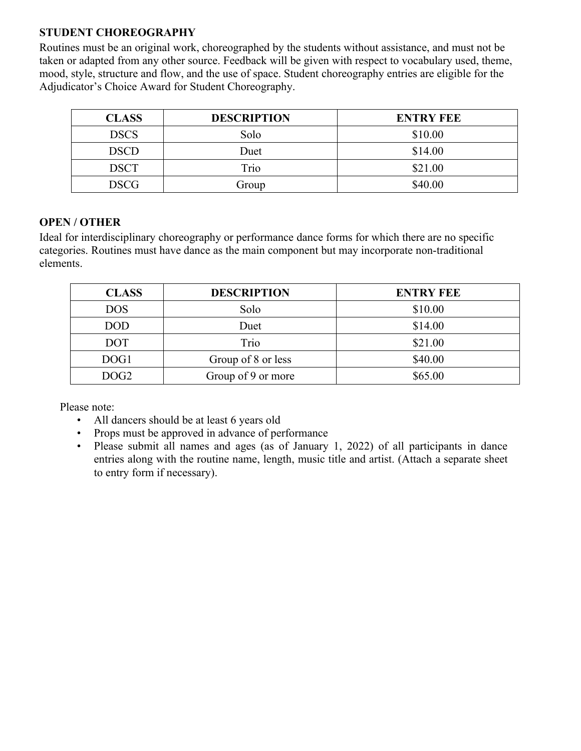### **STUDENT CHOREOGRAPHY**

Routines must be an original work, choreographed by the students without assistance, and must not be taken or adapted from any other source. Feedback will be given with respect to vocabulary used, theme, mood, style, structure and flow, and the use of space. Student choreography entries are eligible for the Adjudicator's Choice Award for Student Choreography.

| <b>CLASS</b> | <b>DESCRIPTION</b> | <b>ENTRY FEE</b> |
|--------------|--------------------|------------------|
| <b>DSCS</b>  | Solo               | \$10.00          |
| <b>DSCD</b>  | Duet               | \$14.00          |
| <b>DSCT</b>  | Trio               | \$21.00          |
| <b>DSCG</b>  | Group              | \$40.00          |

# **OPEN / OTHER**

Ideal for interdisciplinary choreography or performance dance forms for which there are no specific categories. Routines must have dance as the main component but may incorporate non-traditional elements.

| <b>CLASS</b>     | <b>DESCRIPTION</b> | <b>ENTRY FEE</b> |
|------------------|--------------------|------------------|
| <b>DOS</b>       | Solo               | \$10.00          |
| <b>DOD</b>       | Duet               | \$14.00          |
| <b>DOT</b>       | Trio               | \$21.00          |
| DOG1             | Group of 8 or less | \$40.00          |
| DOG <sub>2</sub> | Group of 9 or more | \$65.00          |

Please note:

- All dancers should be at least 6 years old
- Props must be approved in advance of performance
- Please submit all names and ages (as of January 1, 2022) of all participants in dance entries along with the routine name, length, music title and artist. (Attach a separate sheet to entry form if necessary).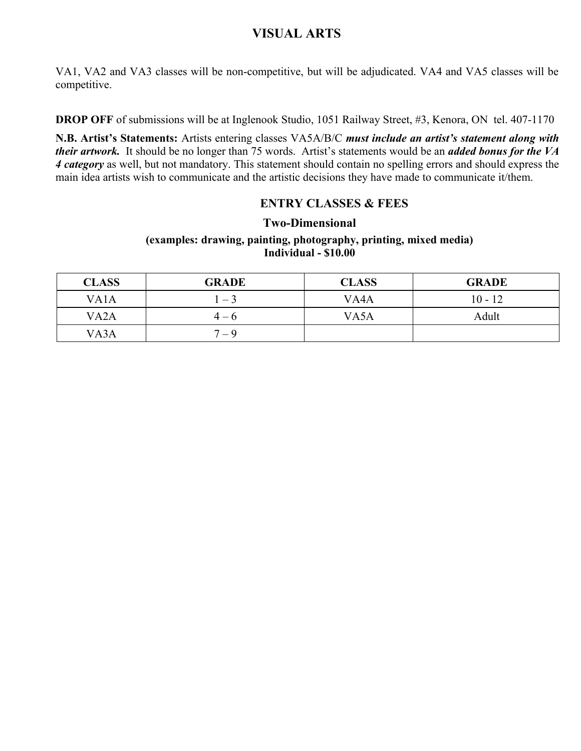# **VISUAL ARTS**

VA1, VA2 and VA3 classes will be non-competitive, but will be adjudicated. VA4 and VA5 classes will be competitive.

**DROP OFF** of submissions will be at Inglenook Studio, 1051 Railway Street, #3, Kenora, ON tel. 407-1170

**N.B. Artist's Statements:** Artists entering classes VA5A/B/C *must include an artist's statement along with their artwork.* It should be no longer than 75 words. Artist's statements would be an *added bonus for the VA 4 category* as well, but not mandatory. This statement should contain no spelling errors and should express the main idea artists wish to communicate and the artistic decisions they have made to communicate it/them.

#### **ENTRY CLASSES & FEES**

#### **Two-Dimensional**

#### **(examples: drawing, painting, photography, printing, mixed media) Individual - \$10.00**

| <b>CLASS</b>      | <b>GRADE</b> | <b>CLASS</b>      | <b>GRADE</b> |
|-------------------|--------------|-------------------|--------------|
| VA <sub>1</sub> A | $1 - 3$      | VA <sub>4</sub> A | $10 - 12$    |
| VA <sub>2</sub> A | $4 - 6$      | VA5A              | Adult        |
| VA3A              | $7 - 9$      |                   |              |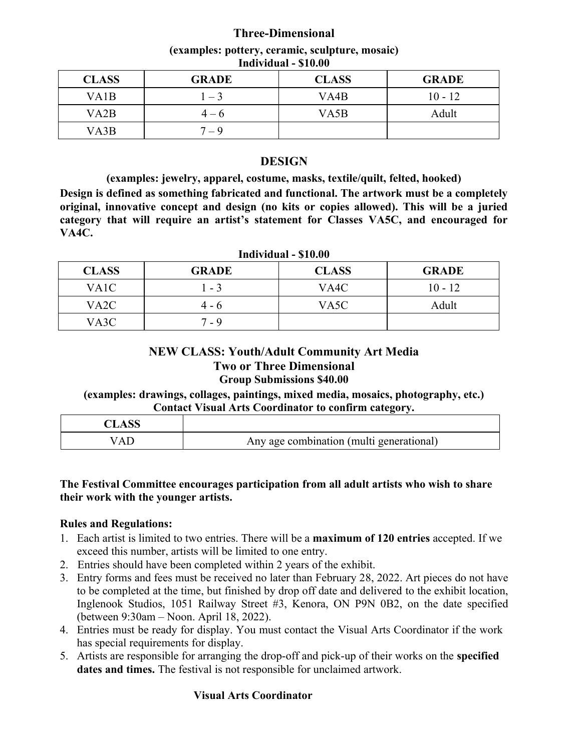# **Three-Dimensional**

| <b>CLASS</b>      | <b>GRADE</b> | <b>CLASS</b> | <b>GRADE</b> |  |  |
|-------------------|--------------|--------------|--------------|--|--|
| VA <sub>1</sub> B | $-3$         | VA4B         | $10 - 12$    |  |  |
| VA <sub>2</sub> B | $4 - 6$      | VA5B         | Adult        |  |  |
| VA3B              | $7 - 9$      |              |              |  |  |

#### **(examples: pottery, ceramic, sculpture, mosaic) Individual - \$10.00**

### **DESIGN**

**(examples: jewelry, apparel, costume, masks, textile/quilt, felted, hooked) Design is defined as something fabricated and functional. The artwork must be a completely original, innovative concept and design (no kits or copies allowed). This will be a juried category that will require an artist's statement for Classes VA5C, and encouraged for VA4C.**

| Individual - \$10.00 |              |              |              |  |
|----------------------|--------------|--------------|--------------|--|
| <b>CLASS</b>         | <b>GRADE</b> | <b>CLASS</b> | <b>GRADE</b> |  |
| VA1C                 | $-3$         | VA4C         | $10 - 12$    |  |
| VA <sub>2</sub> C    | 4 - 6        | VA5C         | Adult        |  |
| VA3C                 | 7 - 9        |              |              |  |

# **NEW CLASS: Youth/Adult Community Art Media Two or Three Dimensional Group Submissions \$40.00**

**(examples: drawings, collages, paintings, mixed media, mosaics, photography, etc.) Contact Visual Arts Coordinator to confirm category.**

| CLASS |                                          |
|-------|------------------------------------------|
| A I   | Any age combination (multi generational) |

#### **The Festival Committee encourages participation from all adult artists who wish to share their work with the younger artists.**

#### **Rules and Regulations:**

- 1. Each artist is limited to two entries. There will be a **maximum of 120 entries** accepted. If we exceed this number, artists will be limited to one entry.
- 2. Entries should have been completed within 2 years of the exhibit.
- 3. Entry forms and fees must be received no later than February 28, 2022. Art pieces do not have to be completed at the time, but finished by drop off date and delivered to the exhibit location, Inglenook Studios, 1051 Railway Street #3, Kenora, ON P9N 0B2, on the date specified (between 9:30am – Noon. April 18, 2022).
- 4. Entries must be ready for display. You must contact the Visual Arts Coordinator if the work has special requirements for display.
- 5. Artists are responsible for arranging the drop-off and pick-up of their works on the **specified dates and times.** The festival is not responsible for unclaimed artwork.

# **Visual Arts Coordinator**